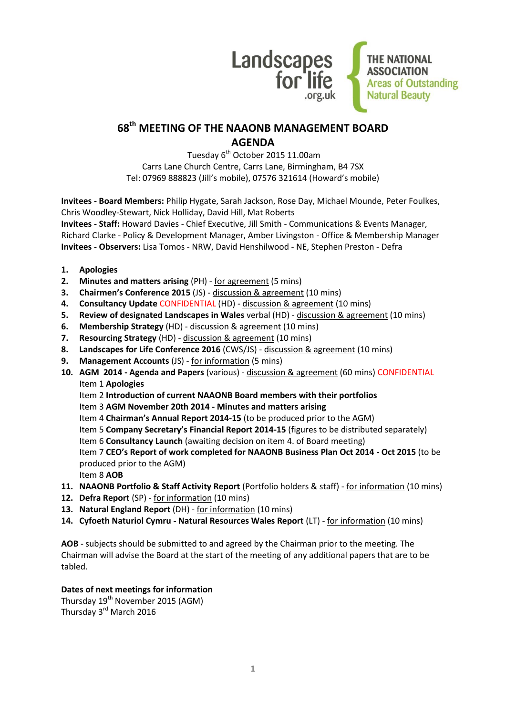

# **68 th MEETING OF THE NAAONB MANAGEMENT BOARD AGENDA**

Tuesday 6<sup>th</sup> October 2015 11.00am Carrs Lane Church Centre, Carrs Lane, Birmingham, B4 7SX Tel: 07969 888823 (Jill's mobile), 07576 321614 (Howard's mobile)

**Invitees - Board Members:** Philip Hygate, Sarah Jackson, Rose Day, Michael Mounde, Peter Foulkes, Chris Woodley-Stewart, Nick Holliday, David Hill, Mat Roberts **Invitees - Staff:** Howard Davies - Chief Executive, Jill Smith - Communications & Events Manager, Richard Clarke - Policy & Development Manager, Amber Livingston - Office & Membership Manager

**Invitees - Observers:** Lisa Tomos - NRW, David Henshilwood - NE, Stephen Preston - Defra

- **1. Apologies**
- **2. Minutes and matters arising** (PH) for agreement (5 mins)
- **3. Chairmen's Conference 2015** (JS) discussion & agreement (10 mins)
- **4. Consultancy Update** CONFIDENTIAL (HD) discussion & agreement (10 mins)
- **5. Review of designated Landscapes in Wales** verbal (HD) discussion & agreement (10 mins)
- **6. Membership Strategy** (HD) discussion & agreement (10 mins)
- **7. Resourcing Strategy** (HD) discussion & agreement (10 mins)
- **8. Landscapes for Life Conference 2016** (CWS/JS) discussion & agreement (10 mins)
- **9. Management Accounts** (JS) for information (5 mins)
- **10. AGM 2014 - Agenda and Papers** (various) discussion & agreement (60 mins) CONFIDENTIAL Item 1 **Apologies**
	- Item 2 **Introduction of current NAAONB Board members with their portfolios**
	- Item 3 **AGM November 20th 2014 - Minutes and matters arising**
	- Item 4 **Chairman's Annual Report 2014-15** (to be produced prior to the AGM)
	- Item 5 **Company Secretary's Financial Report 2014-15** (figures to be distributed separately)
	- Item 6 **Consultancy Launch** (awaiting decision on item 4. of Board meeting)

Item 7 **CEO's Report of work completed for NAAONB Business Plan Oct 2014 - Oct 2015** (to be produced prior to the AGM)

- Item 8 **AOB**
- **11. NAAONB Portfolio & Staff Activity Report** (Portfolio holders & staff) for information (10 mins)
- **12. Defra Report** (SP) for information (10 mins)
- **13. Natural England Report** (DH) for information (10 mins)
- **14. Cyfoeth Naturiol Cymru - Natural Resources Wales Report** (LT) for information (10 mins)

**AOB** - subjects should be submitted to and agreed by the Chairman prior to the meeting. The Chairman will advise the Board at the start of the meeting of any additional papers that are to be tabled.

#### **Dates of next meetings for information**

Thursday 19<sup>th</sup> November 2015 (AGM) Thursday 3rd March 2016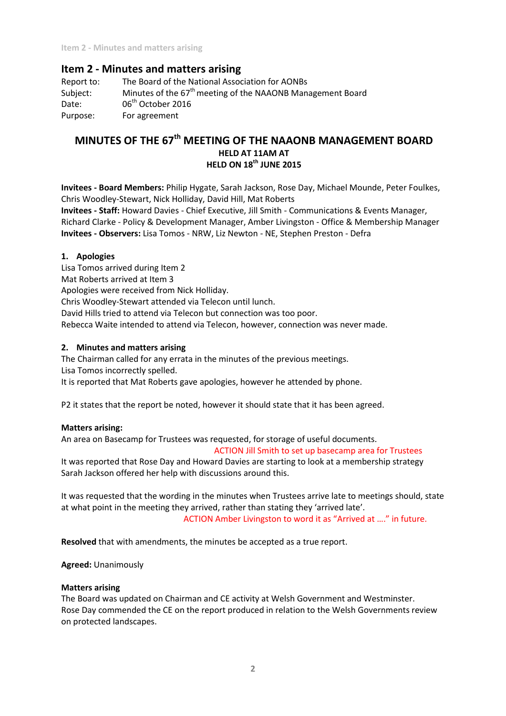**Item 2 - Minutes and matters arising**

# **Item 2 - Minutes and matters arising**

Report to: The Board of the National Association for AONBs Subject: Minutes of the  $67<sup>th</sup>$  meeting of the NAAONB Management Board Date: 06<sup>th</sup> October 2016 Purpose: For agreement

# **MINUTES OF THE 67th MEETING OF THE NAAONB MANAGEMENT BOARD HELD AT 11AM AT HELD ON 18th JUNE 2015**

**Invitees - Board Members:** Philip Hygate, Sarah Jackson, Rose Day, Michael Mounde, Peter Foulkes, Chris Woodley-Stewart, Nick Holliday, David Hill, Mat Roberts

**Invitees - Staff:** Howard Davies - Chief Executive, Jill Smith - Communications & Events Manager, Richard Clarke - Policy & Development Manager, Amber Livingston - Office & Membership Manager **Invitees - Observers:** Lisa Tomos - NRW, Liz Newton - NE, Stephen Preston - Defra

## **1. Apologies**

Lisa Tomos arrived during Item 2 Mat Roberts arrived at Item 3

Apologies were received from Nick Holliday.

Chris Woodley-Stewart attended via Telecon until lunch.

David Hills tried to attend via Telecon but connection was too poor.

Rebecca Waite intended to attend via Telecon, however, connection was never made.

## **2. Minutes and matters arising**

The Chairman called for any errata in the minutes of the previous meetings.

Lisa Tomos incorrectly spelled.

It is reported that Mat Roberts gave apologies, however he attended by phone.

P2 it states that the report be noted, however it should state that it has been agreed.

#### **Matters arising:**

An area on Basecamp for Trustees was requested, for storage of useful documents.

#### ACTION Jill Smith to set up basecamp area for Trustees

It was reported that Rose Day and Howard Davies are starting to look at a membership strategy Sarah Jackson offered her help with discussions around this.

It was requested that the wording in the minutes when Trustees arrive late to meetings should, state at what point in the meeting they arrived, rather than stating they 'arrived late'. ACTION Amber Livingston to word it as "Arrived at …." in future.

**Resolved** that with amendments, the minutes be accepted as a true report.

**Agreed:** Unanimously

#### **Matters arising**

The Board was updated on Chairman and CE activity at Welsh Government and Westminster. Rose Day commended the CE on the report produced in relation to the Welsh Governments review on protected landscapes.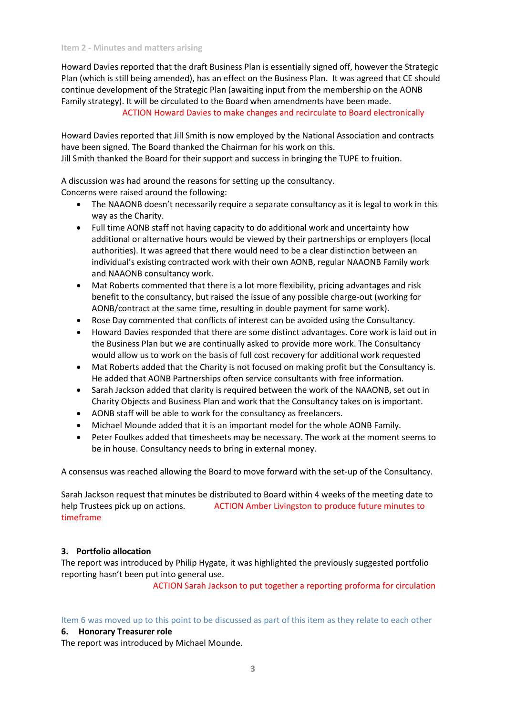Howard Davies reported that the draft Business Plan is essentially signed off, however the Strategic Plan (which is still being amended), has an effect on the Business Plan. It was agreed that CE should continue development of the Strategic Plan (awaiting input from the membership on the AONB Family strategy). It will be circulated to the Board when amendments have been made.

ACTION Howard Davies to make changes and recirculate to Board electronically

Howard Davies reported that Jill Smith is now employed by the National Association and contracts have been signed. The Board thanked the Chairman for his work on this. Jill Smith thanked the Board for their support and success in bringing the TUPE to fruition.

A discussion was had around the reasons for setting up the consultancy. Concerns were raised around the following:

- The NAAONB doesn't necessarily require a separate consultancy as it is legal to work in this way as the Charity.
- Full time AONB staff not having capacity to do additional work and uncertainty how additional or alternative hours would be viewed by their partnerships or employers (local authorities). It was agreed that there would need to be a clear distinction between an individual's existing contracted work with their own AONB, regular NAAONB Family work and NAAONB consultancy work.
- Mat Roberts commented that there is a lot more flexibility, pricing advantages and risk benefit to the consultancy, but raised the issue of any possible charge-out (working for AONB/contract at the same time, resulting in double payment for same work).
- Rose Day commented that conflicts of interest can be avoided using the Consultancy.
- Howard Davies responded that there are some distinct advantages. Core work is laid out in the Business Plan but we are continually asked to provide more work. The Consultancy would allow us to work on the basis of full cost recovery for additional work requested
- Mat Roberts added that the Charity is not focused on making profit but the Consultancy is. He added that AONB Partnerships often service consultants with free information.
- Sarah Jackson added that clarity is required between the work of the NAAONB, set out in Charity Objects and Business Plan and work that the Consultancy takes on is important.
- AONB staff will be able to work for the consultancy as freelancers.
- Michael Mounde added that it is an important model for the whole AONB Family.
- Peter Foulkes added that timesheets may be necessary. The work at the moment seems to be in house. Consultancy needs to bring in external money.

A consensus was reached allowing the Board to move forward with the set-up of the Consultancy.

Sarah Jackson request that minutes be distributed to Board within 4 weeks of the meeting date to help Trustees pick up on actions. ACTION Amber Livingston to produce future minutes to timeframe

#### **3. Portfolio allocation**

The report was introduced by Philip Hygate, it was highlighted the previously suggested portfolio reporting hasn't been put into general use.

ACTION Sarah Jackson to put together a reporting proforma for circulation

Item 6 was moved up to this point to be discussed as part of this item as they relate to each other

#### **6. Honorary Treasurer role**

The report was introduced by Michael Mounde.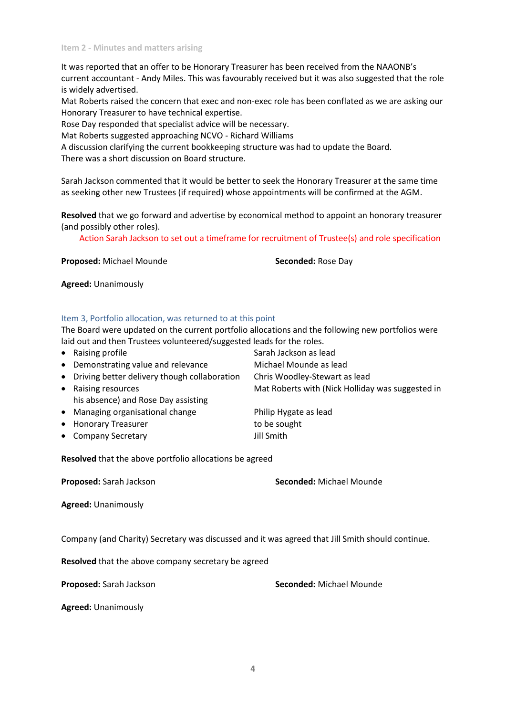It was reported that an offer to be Honorary Treasurer has been received from the NAAONB's current accountant - Andy Miles. This was favourably received but it was also suggested that the role is widely advertised.

Mat Roberts raised the concern that exec and non-exec role has been conflated as we are asking our Honorary Treasurer to have technical expertise.

Rose Day responded that specialist advice will be necessary.

Mat Roberts suggested approaching NCVO - Richard Williams

A discussion clarifying the current bookkeeping structure was had to update the Board.

There was a short discussion on Board structure.

Sarah Jackson commented that it would be better to seek the Honorary Treasurer at the same time as seeking other new Trustees (if required) whose appointments will be confirmed at the AGM.

**Resolved** that we go forward and advertise by economical method to appoint an honorary treasurer (and possibly other roles).

Action Sarah Jackson to set out a timeframe for recruitment of Trustee(s) and role specification

**Proposed:** Michael Mounde **Seconded:** Rose Day

**Agreed:** Unanimously

#### Item 3, Portfolio allocation, was returned to at this point

The Board were updated on the current portfolio allocations and the following new portfolios were laid out and then Trustees volunteered/suggested leads for the roles.

• Raising profile Sarah Jackson as lead • Demonstrating value and relevance Michael Mounde as lead Driving better delivery though collaboration Chris Woodley-Stewart as lead • Raising resources **Mat Roberts with (Nick Holliday was suggested in** his absence) and Rose Day assisting • Managing organisational change Philip Hygate as lead • Honorary Treasurer to be sought • Company Secretary **Jill Smith** 

**Resolved** that the above portfolio allocations be agreed

**Proposed:** Sarah Jackson **Seconded:** Michael Mounde

**Agreed:** Unanimously

Company (and Charity) Secretary was discussed and it was agreed that Jill Smith should continue.

**Resolved** that the above company secretary be agreed

**Proposed:** Sarah Jackson **Seconded:** Michael Mounde

**Agreed:** Unanimously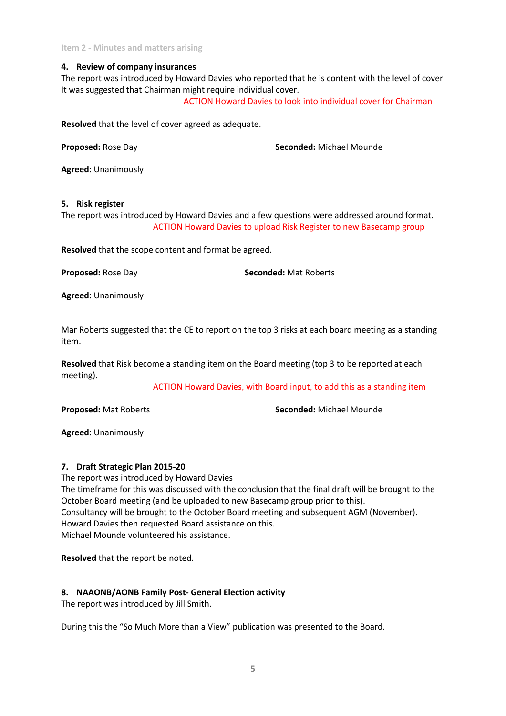**Item 2 - Minutes and matters arising**

#### **4. Review of company insurances**

The report was introduced by Howard Davies who reported that he is content with the level of cover It was suggested that Chairman might require individual cover.

ACTION Howard Davies to look into individual cover for Chairman

**Resolved** that the level of cover agreed as adequate.

**Proposed:** Rose Day **Seconded:** Michael Mounde

**Agreed:** Unanimously

#### **5. Risk register**

The report was introduced by Howard Davies and a few questions were addressed around format. ACTION Howard Davies to upload Risk Register to new Basecamp group

**Resolved** that the scope content and format be agreed.

**Proposed:** Rose Day **Seconded:** Mat Roberts

**Agreed:** Unanimously

Mar Roberts suggested that the CE to report on the top 3 risks at each board meeting as a standing item.

**Resolved** that Risk become a standing item on the Board meeting (top 3 to be reported at each meeting).

ACTION Howard Davies, with Board input, to add this as a standing item

**Proposed:** Mat Roberts **Seconded:** Michael Mounde

**Agreed:** Unanimously

#### **7. Draft Strategic Plan 2015-20**

The report was introduced by Howard Davies The timeframe for this was discussed with the conclusion that the final draft will be brought to the October Board meeting (and be uploaded to new Basecamp group prior to this). Consultancy will be brought to the October Board meeting and subsequent AGM (November). Howard Davies then requested Board assistance on this. Michael Mounde volunteered his assistance.

**Resolved** that the report be noted.

#### **8. NAAONB/AONB Family Post- General Election activity**

The report was introduced by Jill Smith.

During this the "So Much More than a View" publication was presented to the Board.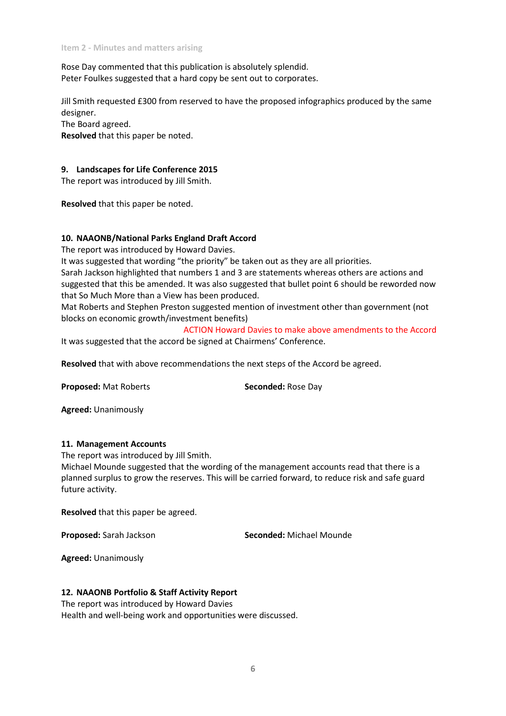Rose Day commented that this publication is absolutely splendid. Peter Foulkes suggested that a hard copy be sent out to corporates.

Jill Smith requested £300 from reserved to have the proposed infographics produced by the same designer.

The Board agreed.

**Resolved** that this paper be noted.

#### **9. Landscapes for Life Conference 2015**

The report was introduced by Jill Smith.

**Resolved** that this paper be noted.

#### **10. NAAONB/National Parks England Draft Accord**

The report was introduced by Howard Davies.

It was suggested that wording "the priority" be taken out as they are all priorities.

Sarah Jackson highlighted that numbers 1 and 3 are statements whereas others are actions and suggested that this be amended. It was also suggested that bullet point 6 should be reworded now that So Much More than a View has been produced.

Mat Roberts and Stephen Preston suggested mention of investment other than government (not blocks on economic growth/investment benefits)

ACTION Howard Davies to make above amendments to the Accord It was suggested that the accord be signed at Chairmens' Conference.

**Resolved** that with above recommendations the next steps of the Accord be agreed.

**Proposed:** Mat Roberts **Seconded:** Rose Day

**Agreed:** Unanimously

#### **11. Management Accounts**

The report was introduced by Jill Smith.

Michael Mounde suggested that the wording of the management accounts read that there is a planned surplus to grow the reserves. This will be carried forward, to reduce risk and safe guard future activity.

**Resolved** that this paper be agreed.

**Proposed:** Sarah Jackson **Seconded:** Michael Mounde

**Agreed:** Unanimously

#### **12. NAAONB Portfolio & Staff Activity Report**

The report was introduced by Howard Davies Health and well-being work and opportunities were discussed.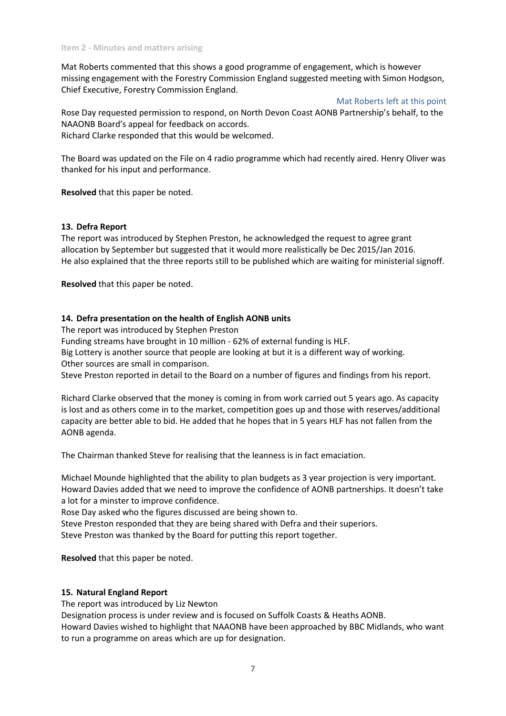Mat Roberts commented that this shows a good programme of engagement, which is however missing engagement with the Forestry Commission England suggested meeting with Simon Hodgson, Chief Executive, Forestry Commission England.

Mat Roberts left at this point

Rose Day requested permission to respond, on North Devon Coast AONB Partnership's behalf, to the NAAONB Board's appeal for feedback on accords. Richard Clarke responded that this would be welcomed.

The Board was updated on the File on 4 radio programme which had recently aired. Henry Oliver was thanked for his input and performance.

**Resolved** that this paper be noted.

#### **13. Defra Report**

The report was introduced by Stephen Preston, he acknowledged the request to agree grant allocation by September but suggested that it would more realistically be Dec 2015/Jan 2016. He also explained that the three reports still to be published which are waiting for ministerial signoff.

**Resolved** that this paper be noted.

#### **14. Defra presentation on the health of English AONB units**

The report was introduced by Stephen Preston

Funding streams have brought in 10 million - 62% of external funding is HLF.

Big Lottery is another source that people are looking at but it is a different way of working. Other sources are small in comparison.

Steve Preston reported in detail to the Board on a number of figures and findings from his report.

Richard Clarke observed that the money is coming in from work carried out 5 years ago. As capacity is lost and as others come in to the market, competition goes up and those with reserves/additional capacity are better able to bid. He added that he hopes that in 5 years HLF has not fallen from the AONB agenda.

The Chairman thanked Steve for realising that the leanness is in fact emaciation.

Michael Mounde highlighted that the ability to plan budgets as 3 year projection is very important. Howard Davies added that we need to improve the confidence of AONB partnerships. It doesn't take a lot for a minster to improve confidence.

Rose Day asked who the figures discussed are being shown to.

Steve Preston responded that they are being shared with Defra and their superiors. Steve Preston was thanked by the Board for putting this report together.

**Resolved** that this paper be noted.

#### **15. Natural England Report**

The report was introduced by Liz Newton

Designation process is under review and is focused on Suffolk Coasts & Heaths AONB.

Howard Davies wished to highlight that NAAONB have been approached by BBC Midlands, who want to run a programme on areas which are up for designation.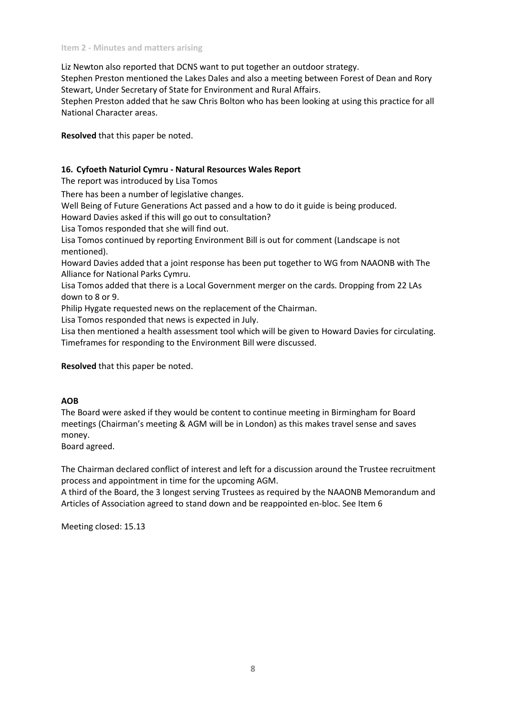Liz Newton also reported that DCNS want to put together an outdoor strategy.

Stephen Preston mentioned the Lakes Dales and also a meeting between Forest of Dean and Rory Stewart, Under Secretary of State for Environment and Rural Affairs.

Stephen Preston added that he saw Chris Bolton who has been looking at using this practice for all National Character areas.

**Resolved** that this paper be noted.

## **16. Cyfoeth Naturiol Cymru - Natural Resources Wales Report**

The report was introduced by Lisa Tomos

There has been a number of legislative changes.

Well Being of Future Generations Act passed and a how to do it guide is being produced.

Howard Davies asked if this will go out to consultation?

Lisa Tomos responded that she will find out.

Lisa Tomos continued by reporting Environment Bill is out for comment (Landscape is not mentioned).

Howard Davies added that a joint response has been put together to WG from NAAONB with The Alliance for National Parks Cymru.

Lisa Tomos added that there is a Local Government merger on the cards. Dropping from 22 LAs down to 8 or 9.

Philip Hygate requested news on the replacement of the Chairman.

Lisa Tomos responded that news is expected in July.

Lisa then mentioned a health assessment tool which will be given to Howard Davies for circulating. Timeframes for responding to the Environment Bill were discussed.

**Resolved** that this paper be noted.

#### **AOB**

The Board were asked if they would be content to continue meeting in Birmingham for Board meetings (Chairman's meeting & AGM will be in London) as this makes travel sense and saves money.

Board agreed.

The Chairman declared conflict of interest and left for a discussion around the Trustee recruitment process and appointment in time for the upcoming AGM.

A third of the Board, the 3 longest serving Trustees as required by the NAAONB Memorandum and Articles of Association agreed to stand down and be reappointed en-bloc. See Item 6

Meeting closed: 15.13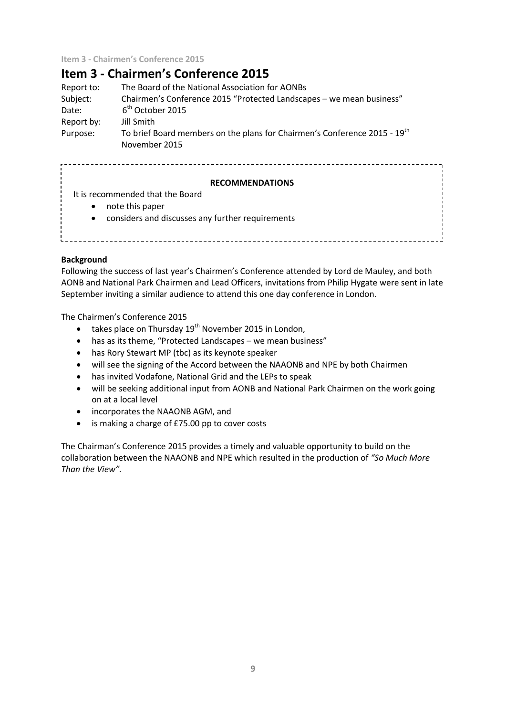**Item 3 - Chairmen's Conference 2015**

# **Item 3 - Chairmen's Conference 2015**

| Report to: | The Board of the National Association for AONBs                                                        |
|------------|--------------------------------------------------------------------------------------------------------|
| Subject:   | Chairmen's Conference 2015 "Protected Landscapes - we mean business"                                   |
| Date:      | 6 <sup>th</sup> October 2015                                                                           |
| Report by: | Jill Smith                                                                                             |
| Purpose:   | To brief Board members on the plans for Chairmen's Conference 2015 - 19 <sup>th</sup><br>November 2015 |

# **RECOMMENDATIONS** It is recommended that the Board • note this paper considers and discusses any further requirements

#### **Background**

Following the success of last year's Chairmen's Conference attended by Lord de Mauley, and both AONB and National Park Chairmen and Lead Officers, invitations from Philip Hygate were sent in late September inviting a similar audience to attend this one day conference in London.

The Chairmen's Conference 2015

- takes place on Thursday  $19<sup>th</sup>$  November 2015 in London,
- has as its theme, "Protected Landscapes we mean business"
- has Rory Stewart MP (tbc) as its keynote speaker
- will see the signing of the Accord between the NAAONB and NPE by both Chairmen
- has invited Vodafone, National Grid and the LEPs to speak
- will be seeking additional input from AONB and National Park Chairmen on the work going on at a local level
- incorporates the NAAONB AGM, and
- is making a charge of £75.00 pp to cover costs

The Chairman's Conference 2015 provides a timely and valuable opportunity to build on the collaboration between the NAAONB and NPE which resulted in the production of *"So Much More Than the View".*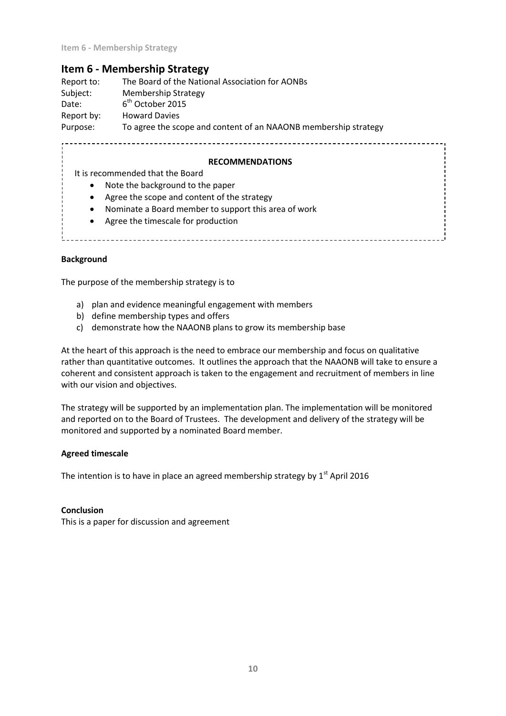# **Item 6 - Membership Strategy**

Report to: The Board of the National Association for AONBs Subject: Membership Strategy Date:  $6<sup>th</sup>$  October 2015 Report by: Howard Davies Purpose: To agree the scope and content of an NAAONB membership strategy

#### **RECOMMENDATIONS**

It is recommended that the Board

- Note the background to the paper
- Agree the scope and content of the strategy
- Nominate a Board member to support this area of work
- Agree the timescale for production

#### **Background**

The purpose of the membership strategy is to

- a) plan and evidence meaningful engagement with members
- b) define membership types and offers
- c) demonstrate how the NAAONB plans to grow its membership base

At the heart of this approach is the need to embrace our membership and focus on qualitative rather than quantitative outcomes. It outlines the approach that the NAAONB will take to ensure a coherent and consistent approach is taken to the engagement and recruitment of members in line with our vision and objectives.

The strategy will be supported by an implementation plan. The implementation will be monitored and reported on to the Board of Trustees. The development and delivery of the strategy will be monitored and supported by a nominated Board member.

#### **Agreed timescale**

The intention is to have in place an agreed membership strategy by  $1<sup>st</sup>$  April 2016

#### **Conclusion**

This is a paper for discussion and agreement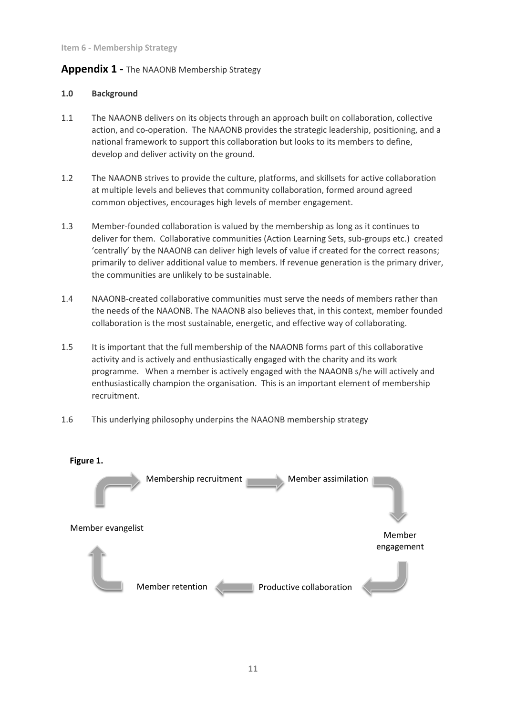# **Appendix 1 -** The NAAONB Membership Strategy

#### **1.0 Background**

- 1.1 The NAAONB delivers on its objects through an approach built on collaboration, collective action, and co-operation. The NAAONB provides the strategic leadership, positioning, and a national framework to support this collaboration but looks to its members to define, develop and deliver activity on the ground.
- 1.2 The NAAONB strives to provide the culture, platforms, and skillsets for active collaboration at multiple levels and believes that community collaboration, formed around agreed common objectives, encourages high levels of member engagement.
- 1.3 Member-founded collaboration is valued by the membership as long as it continues to deliver for them. Collaborative communities (Action Learning Sets, sub-groups etc.) created 'centrally' by the NAAONB can deliver high levels of value if created for the correct reasons; primarily to deliver additional value to members. If revenue generation is the primary driver, the communities are unlikely to be sustainable.
- 1.4 NAAONB-created collaborative communities must serve the needs of members rather than the needs of the NAAONB. The NAAONB also believes that, in this context, member founded collaboration is the most sustainable, energetic, and effective way of collaborating.
- 1.5 It is important that the full membership of the NAAONB forms part of this collaborative activity and is actively and enthusiastically engaged with the charity and its work programme. When a member is actively engaged with the NAAONB s/he will actively and enthusiastically champion the organisation. This is an important element of membership recruitment.
- 1.6 This underlying philosophy underpins the NAAONB membership strategy

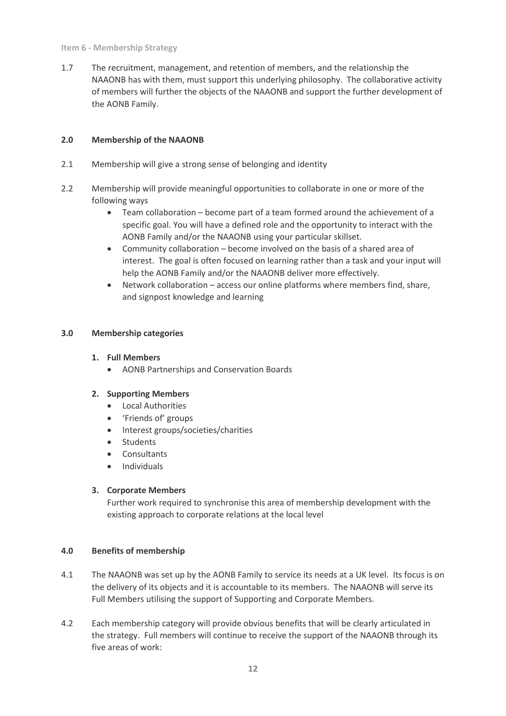#### **Item 6 - Membership Strategy**

1.7 The recruitment, management, and retention of members, and the relationship the NAAONB has with them, must support this underlying philosophy. The collaborative activity of members will further the objects of the NAAONB and support the further development of the AONB Family.

## **2.0 Membership of the NAAONB**

- 2.1 Membership will give a strong sense of belonging and identity
- 2.2 Membership will provide meaningful opportunities to collaborate in one or more of the following ways
	- Team collaboration become part of a team formed around the achievement of a specific goal. You will have a defined role and the opportunity to interact with the AONB Family and/or the NAAONB using your particular skillset.
	- Community collaboration become involved on the basis of a shared area of interest. The goal is often focused on learning rather than a task and your input will help the AONB Family and/or the NAAONB deliver more effectively.
	- Network collaboration access our online platforms where members find, share, and signpost knowledge and learning

## **3.0 Membership categories**

## **1. Full Members**

AONB Partnerships and Conservation Boards

## **2. Supporting Members**

- **•** Local Authorities
- 'Friends of' groups
- Interest groups/societies/charities
- **Students**
- **Consultants**
- Individuals

#### **3. Corporate Members**

Further work required to synchronise this area of membership development with the existing approach to corporate relations at the local level

#### **4.0 Benefits of membership**

- 4.1 The NAAONB was set up by the AONB Family to service its needs at a UK level. Its focus is on the delivery of its objects and it is accountable to its members. The NAAONB will serve its Full Members utilising the support of Supporting and Corporate Members.
- 4.2 Each membership category will provide obvious benefits that will be clearly articulated in the strategy. Full members will continue to receive the support of the NAAONB through its five areas of work: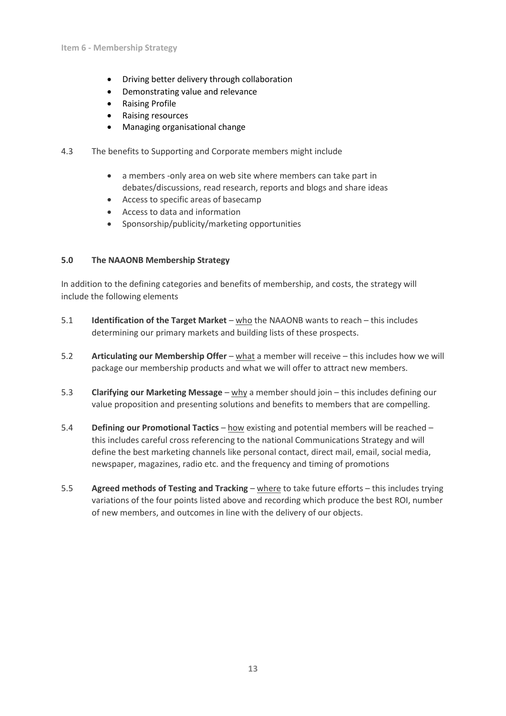- Driving better delivery through collaboration
- Demonstrating value and relevance
- Raising Profile
- Raising resources
- Managing organisational change
- 4.3 The benefits to Supporting and Corporate members might include
	- a members -only area on web site where members can take part in debates/discussions, read research, reports and blogs and share ideas
	- Access to specific areas of basecamp
	- Access to data and information
	- Sponsorship/publicity/marketing opportunities

## **5.0 The NAAONB Membership Strategy**

In addition to the defining categories and benefits of membership, and costs, the strategy will include the following elements

- 5.1 **Identification of the Target Market** who the NAAONB wants to reach this includes determining our primary markets and building lists of these prospects.
- 5.2 **Articulating our Membership Offer** what a member will receive this includes how we will package our membership products and what we will offer to attract new members.
- 5.3 **Clarifying our Marketing Message** why a member should join this includes defining our value proposition and presenting solutions and benefits to members that are compelling.
- 5.4 **Defining our Promotional Tactics** how existing and potential members will be reached this includes careful cross referencing to the national Communications Strategy and will define the best marketing channels like personal contact, direct mail, email, social media, newspaper, magazines, radio etc. and the frequency and timing of promotions
- 5.5 **Agreed methods of Testing and Tracking** where to take future efforts this includes trying variations of the four points listed above and recording which produce the best ROI, number of new members, and outcomes in line with the delivery of our objects.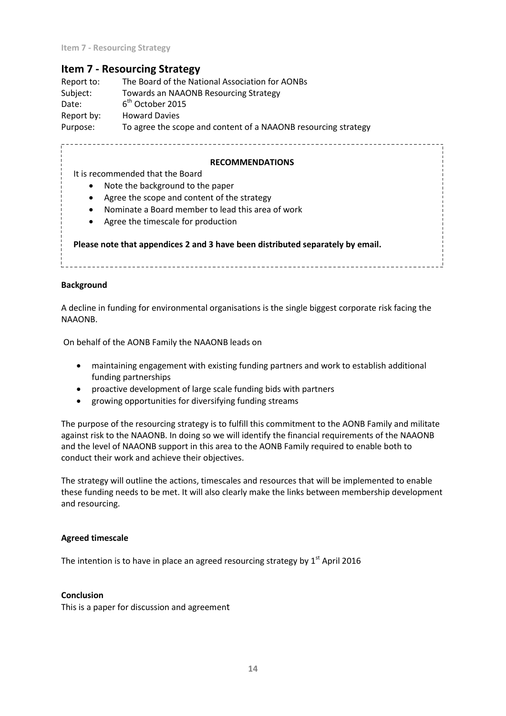# **Item 7 - Resourcing Strategy**

| Report to: | The Board of the National Association for AONBs                |
|------------|----------------------------------------------------------------|
| Subject:   | Towards an NAAONB Resourcing Strategy                          |
| Date:      | $6th$ October 2015                                             |
| Report by: | <b>Howard Davies</b>                                           |
| Purpose:   | To agree the scope and content of a NAAONB resourcing strategy |

#### **RECOMMENDATIONS**

It is recommended that the Board

- Note the background to the paper
- Agree the scope and content of the strategy
- Nominate a Board member to lead this area of work
- Agree the timescale for production

**Please note that appendices 2 and 3 have been distributed separately by email.**

#### **Background**

A decline in funding for environmental organisations is the single biggest corporate risk facing the NAAONB.

On behalf of the AONB Family the NAAONB leads on

- maintaining engagement with existing funding partners and work to establish additional funding partnerships
- proactive development of large scale funding bids with partners
- growing opportunities for diversifying funding streams

The purpose of the resourcing strategy is to fulfill this commitment to the AONB Family and militate against risk to the NAAONB. In doing so we will identify the financial requirements of the NAAONB and the level of NAAONB support in this area to the AONB Family required to enable both to conduct their work and achieve their objectives.

The strategy will outline the actions, timescales and resources that will be implemented to enable these funding needs to be met. It will also clearly make the links between membership development and resourcing.

#### **Agreed timescale**

The intention is to have in place an agreed resourcing strategy by  $1<sup>st</sup>$  April 2016

#### **Conclusion**

This is a paper for discussion and agreement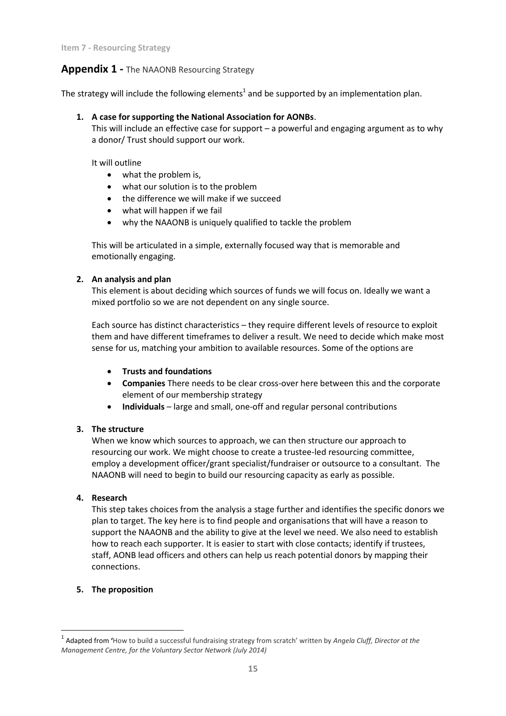# **Appendix 1 -** The NAAONB Resourcing Strategy

The strategy will include the following elements<sup>1</sup> and be supported by an implementation plan.

## **1. A case for supporting the National Association for AONBs**.

This will include an effective case for support – a powerful and engaging argument as to why a donor/ Trust should support our work.

It will outline

- what the problem is,
- what our solution is to the problem
- the difference we will make if we succeed
- what will happen if we fail
- why the NAAONB is uniquely qualified to tackle the problem

This will be articulated in a simple, externally focused way that is memorable and emotionally engaging.

## **2. An analysis and plan**

This element is about deciding which sources of funds we will focus on. Ideally we want a mixed portfolio so we are not dependent on any single source.

Each source has distinct characteristics – they require different levels of resource to exploit them and have different timeframes to deliver a result. We need to decide which make most sense for us, matching your ambition to available resources. Some of the options are

- **Trusts and foundations**
- **Companies** There needs to be clear cross-over here between this and the corporate element of our membership strategy
- **Individuals** large and small, one-off and regular personal contributions

## **3. The structure**

When we know which sources to approach, we can then structure our approach to resourcing our work. We might choose to create a trustee-led resourcing committee, employ a development officer/grant specialist/fundraiser or outsource to a consultant. The NAAONB will need to begin to build our resourcing capacity as early as possible.

## **4. Research**

This step takes choices from the analysis a stage further and identifies the specific donors we plan to target. The key here is to find people and organisations that will have a reason to support the NAAONB and the ability to give at the level we need. We also need to establish how to reach each supporter. It is easier to start with close contacts; identify if trustees, staff, AONB lead officers and others can help us reach potential donors by mapping their connections.

## **5. The proposition**

1

<sup>1</sup> Adapted from **'**How to build a successful fundraising strategy from scratch' written by *Angela Cluff, Director at the Management Centre, for the Voluntary Sector Network (July 2014)*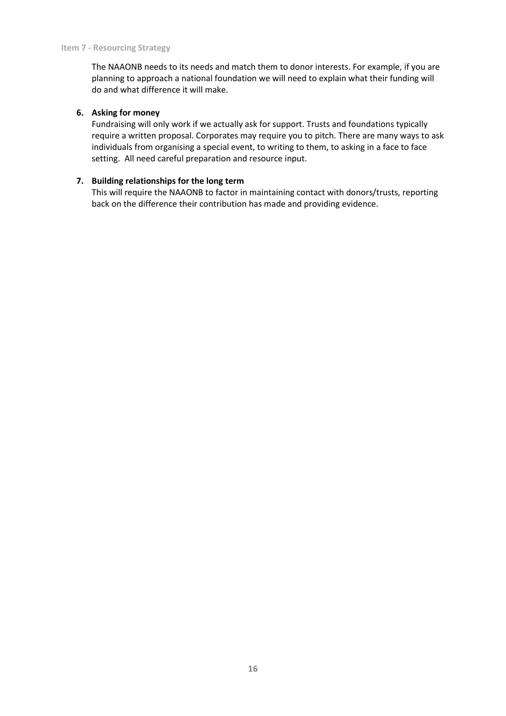The NAAONB needs to its needs and match them to donor interests. For example, if you are planning to approach a national foundation we will need to explain what their funding will do and what difference it will make.

#### **6. Asking for money**

Fundraising will only work if we actually ask for support. Trusts and foundations typically require a written proposal. Corporates may require you to pitch. There are many ways to ask individuals from organising a special event, to writing to them, to asking in a face to face setting. All need careful preparation and resource input.

## **7. Building relationships for the long term**

This will require the NAAONB to factor in maintaining contact with donors/trusts, reporting back on the difference their contribution has made and providing evidence.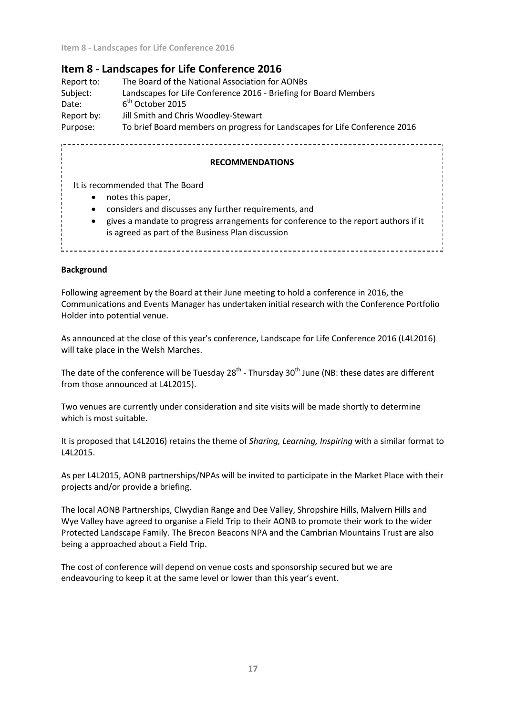# **Item 8 - Landscapes for Life Conference 2016**

Report to: The Board of the National Association for AONBs Subject: Landscapes for Life Conference 2016 - Briefing for Board Members Date:  $6<sup>th</sup>$  October 2015 Report by: Jill Smith and Chris Woodley-Stewart Purpose: To brief Board members on progress for Landscapes for Life Conference 2016

#### **RECOMMENDATIONS**

It is recommended that The Board

- notes this paper,
- considers and discusses any further requirements, and
- gives a mandate to progress arrangements for conference to the report authors if it is agreed as part of the Business Plan discussion

#### **Background**

Following agreement by the Board at their June meeting to hold a conference in 2016, the Communications and Events Manager has undertaken initial research with the Conference Portfolio Holder into potential venue.

As announced at the close of this year's conference, Landscape for Life Conference 2016 (L4L2016) will take place in the Welsh Marches.

The date of the conference will be Tuesday 28<sup>th</sup> - Thursday 30<sup>th</sup> June (NB: these dates are different from those announced at L4L2015).

Two venues are currently under consideration and site visits will be made shortly to determine which is most suitable.

It is proposed that L4L2016) retains the theme of *Sharing, Learning, Inspiring* with a similar format to L4L2015.

As per L4L2015, AONB partnerships/NPAs will be invited to participate in the Market Place with their projects and/or provide a briefing.

The local AONB Partnerships, Clwydian Range and Dee Valley, Shropshire Hills, Malvern Hills and Wye Valley have agreed to organise a Field Trip to their AONB to promote their work to the wider Protected Landscape Family. The Brecon Beacons NPA and the Cambrian Mountains Trust are also being a approached about a Field Trip.

The cost of conference will depend on venue costs and sponsorship secured but we are endeavouring to keep it at the same level or lower than this year's event.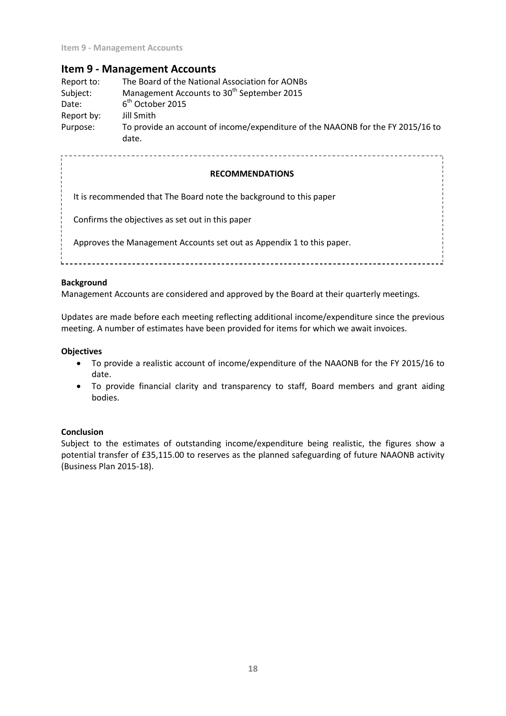## **Item 9 - Management Accounts**

| Report to: | The Board of the National Association for AONBs                                          |
|------------|------------------------------------------------------------------------------------------|
| Subject:   | Management Accounts to 30 <sup>th</sup> September 2015                                   |
| Date:      | $6th$ October 2015                                                                       |
| Report by: | Jill Smith                                                                               |
| Purpose:   | To provide an account of income/expenditure of the NAAONB for the FY 2015/16 to<br>date. |

**RECOMMENDATIONS** It is recommended that The Board note the background to this paper Confirms the objectives as set out in this paper Approves the Management Accounts set out as Appendix 1 to this paper.

#### **Background**

Management Accounts are considered and approved by the Board at their quarterly meetings.

Updates are made before each meeting reflecting additional income/expenditure since the previous meeting. A number of estimates have been provided for items for which we await invoices.

#### **Objectives**

- To provide a realistic account of income/expenditure of the NAAONB for the FY 2015/16 to date.
- To provide financial clarity and transparency to staff, Board members and grant aiding bodies.

#### **Conclusion**

Subject to the estimates of outstanding income/expenditure being realistic, the figures show a potential transfer of £35,115.00 to reserves as the planned safeguarding of future NAAONB activity (Business Plan 2015-18).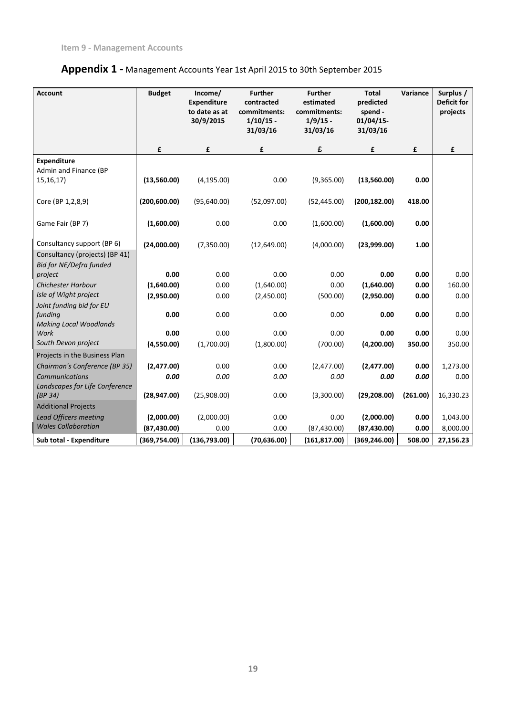| <b>Account</b>                                                                                 | <b>Budget</b> | Income/<br><b>Expenditure</b><br>to date as at<br>30/9/2015 | <b>Further</b><br>contracted<br>commitments:<br>$1/10/15$ -<br>31/03/16 | <b>Further</b><br>estimated<br>commitments:<br>$1/9/15$ -<br>31/03/16 | <b>Total</b><br>predicted<br>spend -<br>$01/04/15$ -<br>31/03/16 | Variance | Surplus /<br><b>Deficit for</b><br>projects |
|------------------------------------------------------------------------------------------------|---------------|-------------------------------------------------------------|-------------------------------------------------------------------------|-----------------------------------------------------------------------|------------------------------------------------------------------|----------|---------------------------------------------|
|                                                                                                | £             | £                                                           | £                                                                       | £                                                                     | £                                                                | £        | £                                           |
| <b>Expenditure</b><br>Admin and Finance (BP<br>15, 16, 17                                      | (13,560.00)   | (4, 195.00)                                                 | 0.00                                                                    | (9,365.00)                                                            | (13,560.00)                                                      | 0.00     |                                             |
| Core (BP 1,2,8,9)                                                                              | (200, 600.00) | (95,640.00)                                                 | (52,097.00)                                                             | (52, 445.00)                                                          | (200, 182.00)                                                    | 418.00   |                                             |
| Game Fair (BP 7)                                                                               | (1,600.00)    | 0.00                                                        | 0.00                                                                    | (1,600.00)                                                            | (1,600.00)                                                       | 0.00     |                                             |
| Consultancy support (BP 6)<br>Consultancy (projects) (BP 41)<br><b>Bid for NE/Defra funded</b> | (24,000.00)   | (7,350.00)                                                  | (12,649.00)                                                             | (4,000.00)                                                            | (23,999.00)                                                      | 1.00     |                                             |
| project                                                                                        | 0.00          | 0.00                                                        | 0.00                                                                    | 0.00                                                                  | 0.00                                                             | 0.00     | 0.00                                        |
| <b>Chichester Harbour</b>                                                                      | (1,640.00)    | 0.00                                                        | (1,640.00)                                                              | 0.00                                                                  | (1,640.00)                                                       | 0.00     | 160.00                                      |
| Isle of Wight project                                                                          | (2,950.00)    | 0.00                                                        | (2,450.00)                                                              | (500.00)                                                              | (2,950.00)                                                       | 0.00     | 0.00                                        |
| Joint funding bid for EU                                                                       |               |                                                             |                                                                         |                                                                       |                                                                  |          |                                             |
| funding                                                                                        | 0.00          | 0.00                                                        | 0.00                                                                    | 0.00                                                                  | 0.00                                                             | 0.00     | 0.00                                        |
| <b>Making Local Woodlands</b>                                                                  |               |                                                             |                                                                         |                                                                       |                                                                  |          |                                             |
| Work<br>South Devon project                                                                    | 0.00          | 0.00                                                        | 0.00                                                                    | 0.00                                                                  | 0.00                                                             | 0.00     | 0.00                                        |
|                                                                                                | (4,550.00)    | (1,700.00)                                                  | (1,800.00)                                                              | (700.00)                                                              | (4,200.00)                                                       | 350.00   | 350.00                                      |
| Projects in the Business Plan                                                                  |               | 0.00                                                        |                                                                         |                                                                       |                                                                  |          |                                             |
| Chairman's Conference (BP 35)                                                                  | (2,477.00)    |                                                             | 0.00                                                                    | (2,477.00)                                                            | (2,477.00)                                                       | 0.00     | 1,273.00                                    |
| Communications<br>Landscapes for Life Conference                                               | 0.00          | 0.00                                                        | 0.00                                                                    | 0.00                                                                  | 0.00                                                             | 0.00     | 0.00                                        |
| (BP 34)                                                                                        | (28, 947.00)  | (25,908.00)                                                 | 0.00                                                                    | (3,300.00)                                                            | (29, 208.00)                                                     | (261.00) | 16,330.23                                   |
| <b>Additional Projects</b>                                                                     |               |                                                             |                                                                         |                                                                       |                                                                  |          |                                             |
| <b>Lead Officers meeting</b>                                                                   | (2,000.00)    | (2,000.00)                                                  | 0.00                                                                    | 0.00                                                                  | (2,000.00)                                                       | 0.00     | 1,043.00                                    |
| <b>Wales Collaboration</b>                                                                     | (87, 430.00)  | 0.00                                                        | 0.00                                                                    | (87, 430.00)                                                          | (87, 430.00)                                                     | 0.00     | 8,000.00                                    |
| Sub total - Expenditure                                                                        | (369, 754.00) | (136,793.00)                                                | (70, 636.00)                                                            | (161, 817.00)                                                         | (369, 246.00)                                                    | 508.00   | 27,156.23                                   |

# **Appendix 1 -** Management Accounts Year 1st April 2015 to 30th September 2015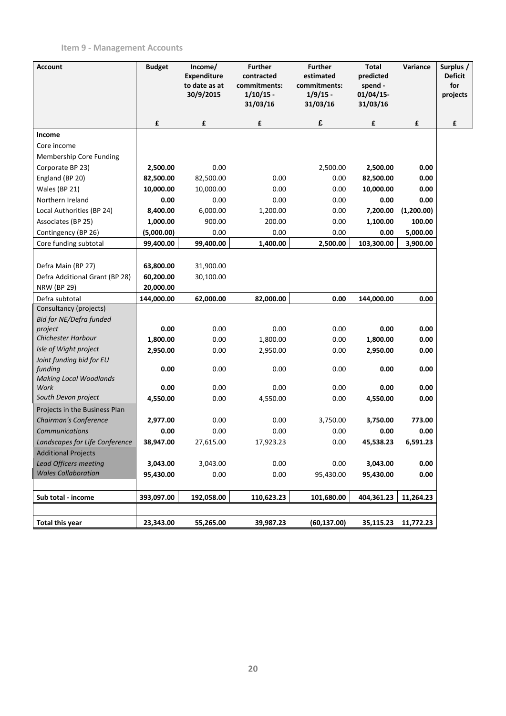# **Item 9 - Management Accounts**

| <b>Account</b>                           | <b>Budget</b> | Income/<br><b>Expenditure</b><br>to date as at<br>30/9/2015 | <b>Further</b><br>contracted<br>commitments:<br>$1/10/15$ -<br>31/03/16 | <b>Further</b><br>estimated<br>commitments:<br>$1/9/15$ - | <b>Total</b><br>predicted<br>spend -<br>$01/04/15$ - | Variance   | Surplus /<br><b>Deficit</b><br>for<br>projects |
|------------------------------------------|---------------|-------------------------------------------------------------|-------------------------------------------------------------------------|-----------------------------------------------------------|------------------------------------------------------|------------|------------------------------------------------|
|                                          | £             | £                                                           | £                                                                       | 31/03/16<br>£                                             | 31/03/16<br>£                                        | £          | £                                              |
| Income                                   |               |                                                             |                                                                         |                                                           |                                                      |            |                                                |
| Core income                              |               |                                                             |                                                                         |                                                           |                                                      |            |                                                |
| Membership Core Funding                  |               |                                                             |                                                                         |                                                           |                                                      |            |                                                |
| Corporate BP 23)                         | 2,500.00      | 0.00                                                        |                                                                         | 2,500.00                                                  | 2,500.00                                             | 0.00       |                                                |
| England (BP 20)                          | 82,500.00     | 82,500.00                                                   | 0.00                                                                    | 0.00                                                      | 82,500.00                                            | 0.00       |                                                |
| Wales (BP 21)                            | 10,000.00     | 10,000.00                                                   | 0.00                                                                    | 0.00                                                      | 10,000.00                                            | 0.00       |                                                |
| Northern Ireland                         | 0.00          | 0.00                                                        | 0.00                                                                    | 0.00                                                      | 0.00                                                 | 0.00       |                                                |
| Local Authorities (BP 24)                | 8,400.00      | 6,000.00                                                    | 1,200.00                                                                | 0.00                                                      | 7,200.00                                             | (1,200.00) |                                                |
| Associates (BP 25)                       | 1,000.00      | 900.00                                                      | 200.00                                                                  | 0.00                                                      | 1,100.00                                             | 100.00     |                                                |
| Contingency (BP 26)                      | (5,000.00)    | 0.00                                                        | 0.00                                                                    | 0.00                                                      | 0.00                                                 | 5,000.00   |                                                |
| Core funding subtotal                    | 99,400.00     | 99,400.00                                                   | 1,400.00                                                                | 2,500.00                                                  | 103,300.00                                           | 3,900.00   |                                                |
|                                          |               |                                                             |                                                                         |                                                           |                                                      |            |                                                |
| Defra Main (BP 27)                       | 63,800.00     | 31,900.00                                                   |                                                                         |                                                           |                                                      |            |                                                |
| Defra Additional Grant (BP 28)           | 60,200.00     | 30,100.00                                                   |                                                                         |                                                           |                                                      |            |                                                |
| <b>NRW (BP 29)</b>                       | 20,000.00     |                                                             |                                                                         |                                                           |                                                      |            |                                                |
| Defra subtotal                           | 144,000.00    | 62,000.00                                                   | 82,000.00                                                               | 0.00                                                      | 144,000.00                                           | 0.00       |                                                |
| Consultancy (projects)                   |               |                                                             |                                                                         |                                                           |                                                      |            |                                                |
| <b>Bid for NE/Defra funded</b>           |               |                                                             |                                                                         |                                                           |                                                      |            |                                                |
| project                                  | 0.00          | 0.00                                                        | 0.00                                                                    | 0.00                                                      | 0.00                                                 | 0.00       |                                                |
| <b>Chichester Harbour</b>                | 1,800.00      | 0.00                                                        | 1,800.00                                                                | 0.00                                                      | 1,800.00                                             | 0.00       |                                                |
| Isle of Wight project                    | 2,950.00      | 0.00                                                        | 2,950.00                                                                | 0.00                                                      | 2,950.00                                             | 0.00       |                                                |
| Joint funding bid for EU                 |               |                                                             |                                                                         |                                                           |                                                      |            |                                                |
| funding<br><b>Making Local Woodlands</b> | 0.00          | 0.00                                                        | 0.00                                                                    | 0.00                                                      | 0.00                                                 | 0.00       |                                                |
| Work                                     | 0.00          | 0.00                                                        | 0.00                                                                    | 0.00                                                      | 0.00                                                 | 0.00       |                                                |
| South Devon project                      | 4,550.00      | 0.00                                                        | 4,550.00                                                                | 0.00                                                      | 4,550.00                                             | 0.00       |                                                |
| Projects in the Business Plan            |               |                                                             |                                                                         |                                                           |                                                      |            |                                                |
| Chairman's Conference                    | 2,977.00      | 0.00                                                        | 0.00                                                                    | 3,750.00                                                  | 3,750.00                                             | 773.00     |                                                |
| Communications                           | 0.00          | 0.00                                                        | 0.00                                                                    | 0.00                                                      | 0.00                                                 | 0.00       |                                                |
| Landscapes for Life Conference           | 38,947.00     | 27,615.00                                                   | 17,923.23                                                               | $0.00\,$                                                  | 45,538.23                                            | 6,591.23   |                                                |
| <b>Additional Projects</b>               |               |                                                             |                                                                         |                                                           |                                                      |            |                                                |
| <b>Lead Officers meeting</b>             | 3,043.00      | 3,043.00                                                    | 0.00                                                                    | 0.00                                                      | 3,043.00                                             | 0.00       |                                                |
| <b>Wales Collaboration</b>               | 95,430.00     | 0.00                                                        | 0.00                                                                    | 95,430.00                                                 | 95,430.00                                            | 0.00       |                                                |
|                                          |               |                                                             |                                                                         |                                                           |                                                      |            |                                                |
| Sub total - income                       | 393,097.00    | 192,058.00                                                  | 110,623.23                                                              | 101,680.00                                                | 404,361.23                                           | 11,264.23  |                                                |
|                                          |               |                                                             |                                                                         |                                                           |                                                      |            |                                                |
| <b>Total this year</b>                   | 23,343.00     | 55,265.00                                                   | 39,987.23                                                               | (60, 137.00)                                              | 35,115.23                                            | 11,772.23  |                                                |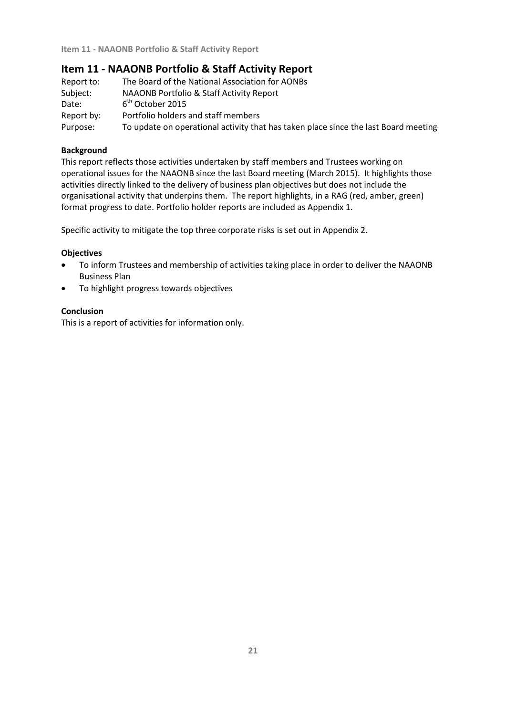# **Item 11 - NAAONB Portfolio & Staff Activity Report**

| Report to: | The Board of the National Association for AONBs                                     |
|------------|-------------------------------------------------------------------------------------|
| Subject:   | NAAONB Portfolio & Staff Activity Report                                            |
| Date:      | $6th$ October 2015                                                                  |
| Report by: | Portfolio holders and staff members                                                 |
| Purpose:   | To update on operational activity that has taken place since the last Board meeting |

## **Background**

This report reflects those activities undertaken by staff members and Trustees working on operational issues for the NAAONB since the last Board meeting (March 2015). It highlights those activities directly linked to the delivery of business plan objectives but does not include the organisational activity that underpins them. The report highlights, in a RAG (red, amber, green) format progress to date. Portfolio holder reports are included as Appendix 1.

Specific activity to mitigate the top three corporate risks is set out in Appendix 2.

## **Objectives**

- To inform Trustees and membership of activities taking place in order to deliver the NAAONB Business Plan
- To highlight progress towards objectives

## **Conclusion**

This is a report of activities for information only.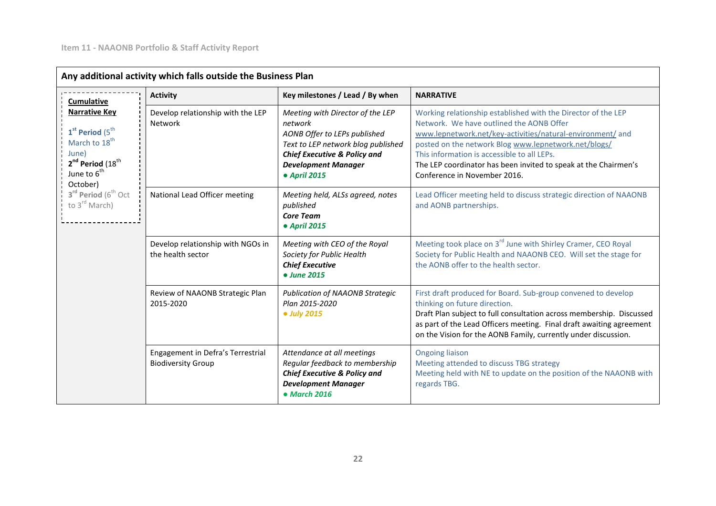|                                                                                                                                                                                                                     | Any additional activity which falls outside the Business Plan  |                                                                                                                                                                                                            |                                                                                                                                                                                                                                                                                                                                                                                   |
|---------------------------------------------------------------------------------------------------------------------------------------------------------------------------------------------------------------------|----------------------------------------------------------------|------------------------------------------------------------------------------------------------------------------------------------------------------------------------------------------------------------|-----------------------------------------------------------------------------------------------------------------------------------------------------------------------------------------------------------------------------------------------------------------------------------------------------------------------------------------------------------------------------------|
| Cumulative                                                                                                                                                                                                          | <b>Activity</b>                                                | Key milestones / Lead / By when                                                                                                                                                                            | <b>NARRATIVE</b>                                                                                                                                                                                                                                                                                                                                                                  |
| <b>Narrative Key</b><br>$1st$ Period (5 <sup>th</sup> )<br>March to 18 <sup>th</sup><br>June)<br>$2^{nd}$ Period $(18^{th}$<br>June to $6^{th}$<br>October)<br>$3^{rd}$ Period ( $6^{th}$ Oct<br>to $3^{rd}$ March) | Develop relationship with the LEP<br><b>Network</b>            | Meeting with Director of the LEP<br>network<br>AONB Offer to LEPs published<br>Text to LEP network blog published<br><b>Chief Executive &amp; Policy and</b><br><b>Development Manager</b><br>• April 2015 | Working relationship established with the Director of the LEP<br>Network. We have outlined the AONB Offer<br>www.lepnetwork.net/key-activities/natural-environment/ and<br>posted on the network Blog www.lepnetwork.net/blogs/<br>This information is accessible to all LEPs.<br>The LEP coordinator has been invited to speak at the Chairmen's<br>Conference in November 2016. |
|                                                                                                                                                                                                                     | National Lead Officer meeting                                  | Meeting held, ALSs agreed, notes<br>published<br><b>Core Team</b><br>• April 2015                                                                                                                          | Lead Officer meeting held to discuss strategic direction of NAAONB<br>and AONB partnerships.                                                                                                                                                                                                                                                                                      |
|                                                                                                                                                                                                                     | Develop relationship with NGOs in<br>the health sector         | Meeting with CEO of the Royal<br>Society for Public Health<br><b>Chief Executive</b><br>• June 2015                                                                                                        | Meeting took place on 3 <sup>rd</sup> June with Shirley Cramer, CEO Royal<br>Society for Public Health and NAAONB CEO. Will set the stage for<br>the AONB offer to the health sector.                                                                                                                                                                                             |
|                                                                                                                                                                                                                     | Review of NAAONB Strategic Plan<br>2015-2020                   | <b>Publication of NAAONB Strategic</b><br>Plan 2015-2020<br>• July 2015                                                                                                                                    | First draft produced for Board. Sub-group convened to develop<br>thinking on future direction.<br>Draft Plan subject to full consultation across membership. Discussed<br>as part of the Lead Officers meeting. Final draft awaiting agreement<br>on the Vision for the AONB Family, currently under discussion.                                                                  |
|                                                                                                                                                                                                                     | Engagement in Defra's Terrestrial<br><b>Biodiversity Group</b> | Attendance at all meetings<br>Regular feedback to membership<br><b>Chief Executive &amp; Policy and</b><br><b>Development Manager</b><br>$•$ March 2016                                                    | <b>Ongoing liaison</b><br>Meeting attended to discuss TBG strategy<br>Meeting held with NE to update on the position of the NAAONB with<br>regards TBG.                                                                                                                                                                                                                           |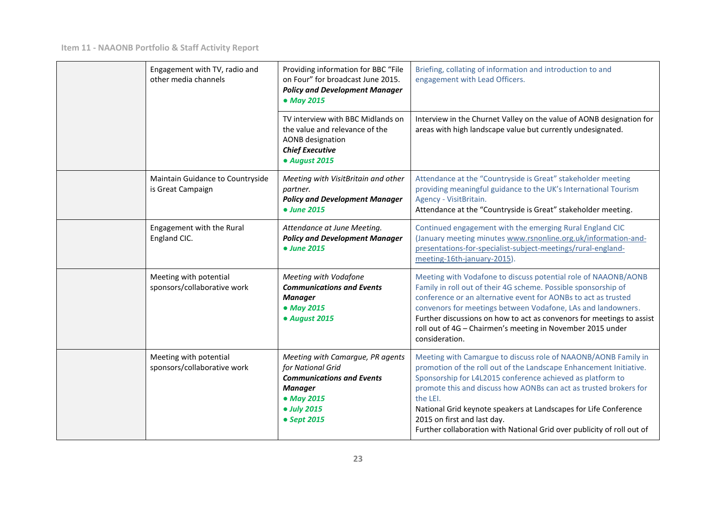| Engagement with TV, radio and<br>other media channels | Providing information for BBC "File<br>on Four" for broadcast June 2015.<br><b>Policy and Development Manager</b><br>• May 2015                         | Briefing, collating of information and introduction to and<br>engagement with Lead Officers.                                                                                                                                                                                                                                                                                                                                                                     |
|-------------------------------------------------------|---------------------------------------------------------------------------------------------------------------------------------------------------------|------------------------------------------------------------------------------------------------------------------------------------------------------------------------------------------------------------------------------------------------------------------------------------------------------------------------------------------------------------------------------------------------------------------------------------------------------------------|
|                                                       | TV interview with BBC Midlands on<br>the value and relevance of the<br><b>AONB</b> designation<br><b>Chief Executive</b><br>· August 2015               | Interview in the Churnet Valley on the value of AONB designation for<br>areas with high landscape value but currently undesignated.                                                                                                                                                                                                                                                                                                                              |
| Maintain Guidance to Countryside<br>is Great Campaign | Meeting with VisitBritain and other<br>partner.<br><b>Policy and Development Manager</b><br>• June 2015                                                 | Attendance at the "Countryside is Great" stakeholder meeting<br>providing meaningful guidance to the UK's International Tourism<br>Agency - VisitBritain.<br>Attendance at the "Countryside is Great" stakeholder meeting.                                                                                                                                                                                                                                       |
| Engagement with the Rural<br>England CIC.             | Attendance at June Meeting.<br><b>Policy and Development Manager</b><br>• June 2015                                                                     | Continued engagement with the emerging Rural England CIC<br>(January meeting minutes www.rsnonline.org.uk/information-and-<br>presentations-for-specialist-subject-meetings/rural-england-<br>meeting-16th-january-2015).                                                                                                                                                                                                                                        |
| Meeting with potential<br>sponsors/collaborative work | Meeting with Vodafone<br><b>Communications and Events</b><br><b>Manager</b><br>• May 2015<br>· August 2015                                              | Meeting with Vodafone to discuss potential role of NAAONB/AONB<br>Family in roll out of their 4G scheme. Possible sponsorship of<br>conference or an alternative event for AONBs to act as trusted<br>convenors for meetings between Vodafone, LAs and landowners.<br>Further discussions on how to act as convenors for meetings to assist<br>roll out of 4G - Chairmen's meeting in November 2015 under<br>consideration.                                      |
| Meeting with potential<br>sponsors/collaborative work | Meeting with Camargue, PR agents<br>for National Grid<br><b>Communications and Events</b><br><b>Manager</b><br>• May 2015<br>• July 2015<br>• Sept 2015 | Meeting with Camargue to discuss role of NAAONB/AONB Family in<br>promotion of the roll out of the Landscape Enhancement Initiative.<br>Sponsorship for L4L2015 conference achieved as platform to<br>promote this and discuss how AONBs can act as trusted brokers for<br>the LEI.<br>National Grid keynote speakers at Landscapes for Life Conference<br>2015 on first and last day.<br>Further collaboration with National Grid over publicity of roll out of |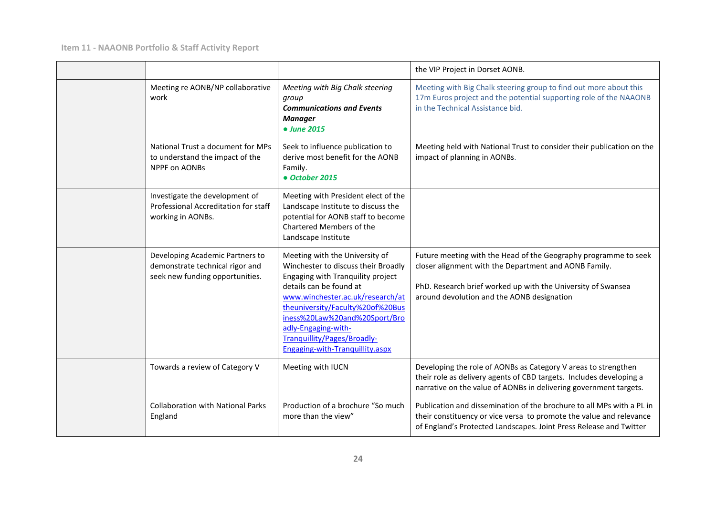|                                                                                                       |                                                                                                                                                                                                                                                                                                                                         | the VIP Project in Dorset AONB.                                                                                                                                                                                                        |
|-------------------------------------------------------------------------------------------------------|-----------------------------------------------------------------------------------------------------------------------------------------------------------------------------------------------------------------------------------------------------------------------------------------------------------------------------------------|----------------------------------------------------------------------------------------------------------------------------------------------------------------------------------------------------------------------------------------|
| Meeting re AONB/NP collaborative<br>work                                                              | Meeting with Big Chalk steering<br>group<br><b>Communications and Events</b><br><b>Manager</b><br>• June 2015                                                                                                                                                                                                                           | Meeting with Big Chalk steering group to find out more about this<br>17m Euros project and the potential supporting role of the NAAONB<br>in the Technical Assistance bid.                                                             |
| National Trust a document for MPs<br>to understand the impact of the<br><b>NPPF on AONBs</b>          | Seek to influence publication to<br>derive most benefit for the AONB<br>Family.<br>• October 2015                                                                                                                                                                                                                                       | Meeting held with National Trust to consider their publication on the<br>impact of planning in AONBs.                                                                                                                                  |
| Investigate the development of<br>Professional Accreditation for staff<br>working in AONBs.           | Meeting with President elect of the<br>Landscape Institute to discuss the<br>potential for AONB staff to become<br>Chartered Members of the<br>Landscape Institute                                                                                                                                                                      |                                                                                                                                                                                                                                        |
| Developing Academic Partners to<br>demonstrate technical rigor and<br>seek new funding opportunities. | Meeting with the University of<br>Winchester to discuss their Broadly<br>Engaging with Tranquility project<br>details can be found at<br>www.winchester.ac.uk/research/at<br>theuniversity/Faculty%20of%20Bus<br>iness%20Law%20and%20Sport/Bro<br>adly-Engaging-with-<br>Tranquillity/Pages/Broadly-<br>Engaging-with-Tranquillity.aspx | Future meeting with the Head of the Geography programme to seek<br>closer alignment with the Department and AONB Family.<br>PhD. Research brief worked up with the University of Swansea<br>around devolution and the AONB designation |
| Towards a review of Category V                                                                        | Meeting with IUCN                                                                                                                                                                                                                                                                                                                       | Developing the role of AONBs as Category V areas to strengthen<br>their role as delivery agents of CBD targets. Includes developing a<br>narrative on the value of AONBs in delivering government targets.                             |
| <b>Collaboration with National Parks</b><br>England                                                   | Production of a brochure "So much<br>more than the view"                                                                                                                                                                                                                                                                                | Publication and dissemination of the brochure to all MPs with a PL in<br>their constituency or vice versa to promote the value and relevance<br>of England's Protected Landscapes. Joint Press Release and Twitter                     |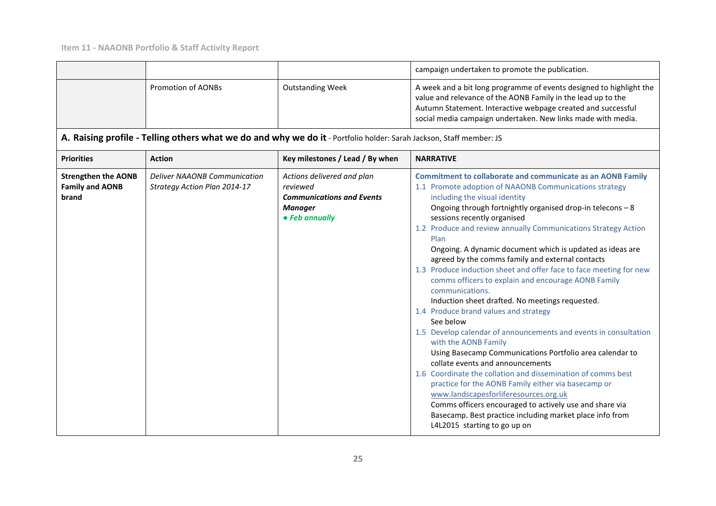|                                                               |                                                                                                                     |                                                                                                                | campaign undertaken to promote the publication.                                                                                                                                                                                                                                                                                                                                                                                                                                                                                                                                                                                                                                                                                                                                                                                                                                                                                                                                                                                                                                                                                                                                                                                   |
|---------------------------------------------------------------|---------------------------------------------------------------------------------------------------------------------|----------------------------------------------------------------------------------------------------------------|-----------------------------------------------------------------------------------------------------------------------------------------------------------------------------------------------------------------------------------------------------------------------------------------------------------------------------------------------------------------------------------------------------------------------------------------------------------------------------------------------------------------------------------------------------------------------------------------------------------------------------------------------------------------------------------------------------------------------------------------------------------------------------------------------------------------------------------------------------------------------------------------------------------------------------------------------------------------------------------------------------------------------------------------------------------------------------------------------------------------------------------------------------------------------------------------------------------------------------------|
|                                                               | <b>Promotion of AONBs</b>                                                                                           | <b>Outstanding Week</b>                                                                                        | A week and a bit long programme of events designed to highlight the<br>value and relevance of the AONB Family in the lead up to the<br>Autumn Statement. Interactive webpage created and successful<br>social media campaign undertaken. New links made with media.                                                                                                                                                                                                                                                                                                                                                                                                                                                                                                                                                                                                                                                                                                                                                                                                                                                                                                                                                               |
|                                                               | A. Raising profile - Telling others what we do and why we do it - Portfolio holder: Sarah Jackson, Staff member: JS |                                                                                                                |                                                                                                                                                                                                                                                                                                                                                                                                                                                                                                                                                                                                                                                                                                                                                                                                                                                                                                                                                                                                                                                                                                                                                                                                                                   |
| <b>Priorities</b>                                             | <b>Action</b>                                                                                                       | Key milestones / Lead / By when                                                                                | <b>NARRATIVE</b>                                                                                                                                                                                                                                                                                                                                                                                                                                                                                                                                                                                                                                                                                                                                                                                                                                                                                                                                                                                                                                                                                                                                                                                                                  |
| <b>Strengthen the AONB</b><br><b>Family and AONB</b><br>brand | <b>Deliver NAAONB Communication</b><br>Strategy Action Plan 2014-17                                                 | Actions delivered and plan<br>reviewed<br><b>Communications and Events</b><br><b>Manager</b><br>• Feb annually | <b>Commitment to collaborate and communicate as an AONB Family</b><br>1.1 Promote adoption of NAAONB Communications strategy<br>including the visual identity<br>Ongoing through fortnightly organised drop-in telecons - 8<br>sessions recently organised<br>1.2 Produce and review annually Communications Strategy Action<br>Plan<br>Ongoing. A dynamic document which is updated as ideas are<br>agreed by the comms family and external contacts<br>1.3 Produce induction sheet and offer face to face meeting for new<br>comms officers to explain and encourage AONB Family<br>communications.<br>Induction sheet drafted. No meetings requested.<br>1.4 Produce brand values and strategy<br>See below<br>1.5 Develop calendar of announcements and events in consultation<br>with the AONB Family<br>Using Basecamp Communications Portfolio area calendar to<br>collate events and announcements<br>1.6 Coordinate the collation and dissemination of comms best<br>practice for the AONB Family either via basecamp or<br>www.landscapesforliferesources.org.uk<br>Comms officers encouraged to actively use and share via<br>Basecamp. Best practice including market place info from<br>L4L2015 starting to go up on |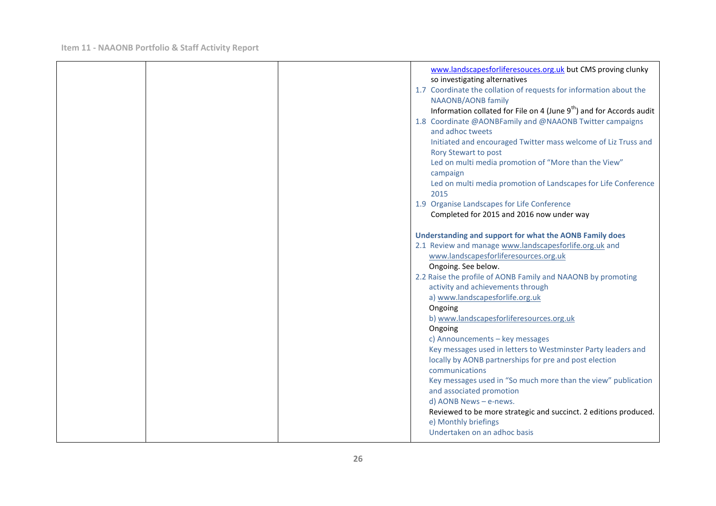|  | www.landscapesforliferesouces.org.uk but CMS proving clunky            |
|--|------------------------------------------------------------------------|
|  | so investigating alternatives                                          |
|  | 1.7 Coordinate the collation of requests for information about the     |
|  | <b>NAAONB/AONB family</b>                                              |
|  | Information collated for File on 4 (June $9th$ ) and for Accords audit |
|  | 1.8 Coordinate @AONBFamily and @NAAONB Twitter campaigns               |
|  | and adhoc tweets                                                       |
|  | Initiated and encouraged Twitter mass welcome of Liz Truss and         |
|  | Rory Stewart to post                                                   |
|  | Led on multi media promotion of "More than the View"                   |
|  | campaign                                                               |
|  | Led on multi media promotion of Landscapes for Life Conference         |
|  | 2015                                                                   |
|  | 1.9 Organise Landscapes for Life Conference                            |
|  | Completed for 2015 and 2016 now under way                              |
|  |                                                                        |
|  | Understanding and support for what the AONB Family does                |
|  | 2.1 Review and manage www.landscapesforlife.org.uk and                 |
|  | www.landscapesforliferesources.org.uk                                  |
|  | Ongoing. See below.                                                    |
|  | 2.2 Raise the profile of AONB Family and NAAONB by promoting           |
|  | activity and achievements through                                      |
|  | a) www.landscapesforlife.org.uk                                        |
|  | Ongoing                                                                |
|  | b) www.landscapesforliferesources.org.uk                               |
|  | Ongoing                                                                |
|  | c) Announcements - key messages                                        |
|  | Key messages used in letters to Westminster Party leaders and          |
|  | locally by AONB partnerships for pre and post election                 |
|  | communications                                                         |
|  | Key messages used in "So much more than the view" publication          |
|  | and associated promotion                                               |
|  | d) AONB News - e-news.                                                 |
|  | Reviewed to be more strategic and succinct. 2 editions produced.       |
|  | e) Monthly briefings                                                   |
|  | Undertaken on an adhoc basis                                           |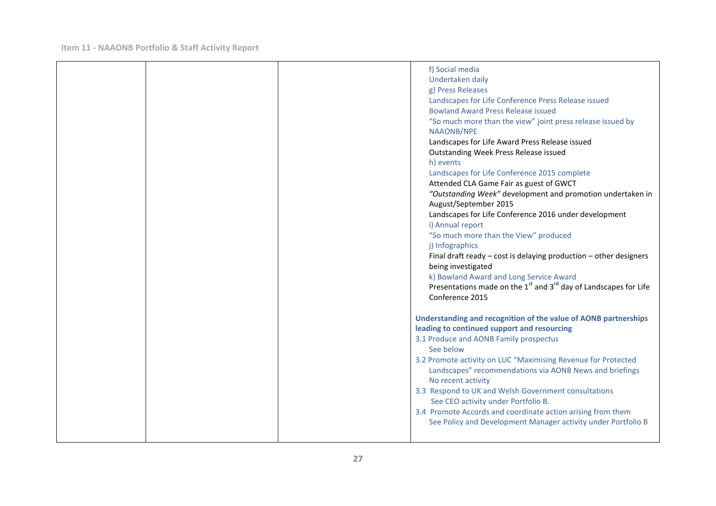| f) Social media<br>Undertaken daily<br>g) Press Releases<br>Landscapes for Life Conference Press Release issued<br><b>Bowland Award Press Release issued</b><br>"So much more than the view" joint press release issued by<br><b>NAAONB/NPE</b><br>Landscapes for Life Award Press Release issued<br>Outstanding Week Press Release issued<br>h) events<br>Landscapes for Life Conference 2015 complete<br>Attended CLA Game Fair as guest of GWCT<br>"Outstanding Week" development and promotion undertaken in<br>August/September 2015<br>Landscapes for Life Conference 2016 under development<br>i) Annual report<br>"So much more than the View" produced<br>j) Infographics<br>Final draft ready $-$ cost is delaying production $-$ other designers<br>being investigated<br>k) Bowland Award and Long Service Award<br>Presentations made on the $1st$ and $3rd$ day of Landscapes for Life<br>Conference 2015 |
|-------------------------------------------------------------------------------------------------------------------------------------------------------------------------------------------------------------------------------------------------------------------------------------------------------------------------------------------------------------------------------------------------------------------------------------------------------------------------------------------------------------------------------------------------------------------------------------------------------------------------------------------------------------------------------------------------------------------------------------------------------------------------------------------------------------------------------------------------------------------------------------------------------------------------|
| Understanding and recognition of the value of AONB partnerships<br>leading to continued support and resourcing<br>3.1 Produce and AONB Family prospectus<br>See below<br>3.2 Promote activity on LUC "Maximising Revenue for Protected<br>Landscapes" recommendations via AONB News and briefings<br>No recent activity<br>3.3 Respond to UK and Welsh Government consultations<br>See CEO activity under Portfolio B.<br>3.4 Promote Accords and coordinate action arising from them<br>See Policy and Development Manager activity under Portfolio B                                                                                                                                                                                                                                                                                                                                                                  |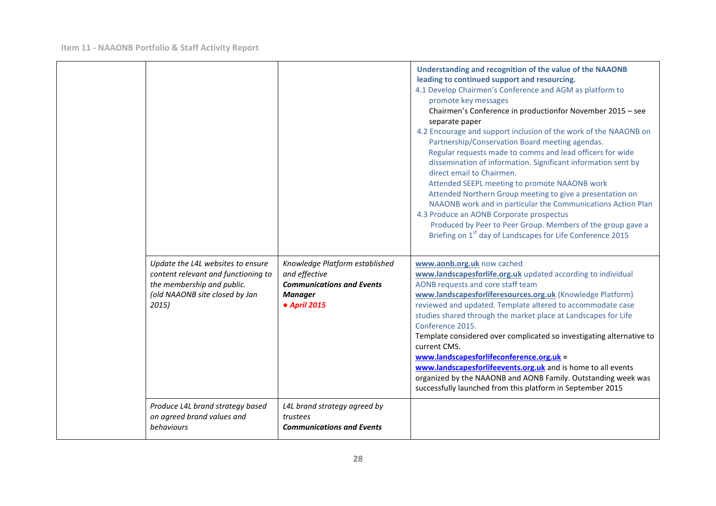|  |                                                                                                                                                   |                                                                                                                       | Understanding and recognition of the value of the NAAONB<br>leading to continued support and resourcing.<br>4.1 Develop Chairmen's Conference and AGM as platform to<br>promote key messages<br>Chairmen's Conference in productionfor November 2015 - see<br>separate paper<br>4.2 Encourage and support inclusion of the work of the NAAONB on<br>Partnership/Conservation Board meeting agendas.<br>Regular requests made to comms and lead officers for wide<br>dissemination of information. Significant information sent by<br>direct email to Chairmen.<br>Attended SEEPL meeting to promote NAAONB work<br>Attended Northern Group meeting to give a presentation on<br>NAAONB work and in particular the Communications Action Plan<br>4.3 Produce an AONB Corporate prospectus<br>Produced by Peer to Peer Group. Members of the group gave a<br>Briefing on 1 <sup>st</sup> day of Landscapes for Life Conference 2015 |
|--|---------------------------------------------------------------------------------------------------------------------------------------------------|-----------------------------------------------------------------------------------------------------------------------|-----------------------------------------------------------------------------------------------------------------------------------------------------------------------------------------------------------------------------------------------------------------------------------------------------------------------------------------------------------------------------------------------------------------------------------------------------------------------------------------------------------------------------------------------------------------------------------------------------------------------------------------------------------------------------------------------------------------------------------------------------------------------------------------------------------------------------------------------------------------------------------------------------------------------------------|
|  | Update the L4L websites to ensure<br>content relevant and functioning to<br>the membership and public.<br>(old NAAONB site closed by Jan<br>2015) | Knowledge Platform established<br>and effective<br><b>Communications and Events</b><br><b>Manager</b><br>• April 2015 | www.aonb.org.uk now cached<br>www.landscapesforlife.org.uk updated according to individual<br>AONB requests and core staff team<br>www.landscapesforliferesources.org.uk (Knowledge Platform)<br>reviewed and updated. Template altered to accommodate case<br>studies shared through the market place at Landscapes for Life<br>Conference 2015.<br>Template considered over complicated so investigating alternative to<br>current CMS.<br>www.landscapesforlifeconference.org.uk =<br>www.landscapesforlifeevents.org.uk and is home to all events<br>organized by the NAAONB and AONB Family. Outstanding week was<br>successfully launched from this platform in September 2015                                                                                                                                                                                                                                              |
|  | Produce L4L brand strategy based<br>on agreed brand values and<br>behaviours                                                                      | L4L brand strategy agreed by<br>trustees<br><b>Communications and Events</b>                                          |                                                                                                                                                                                                                                                                                                                                                                                                                                                                                                                                                                                                                                                                                                                                                                                                                                                                                                                                   |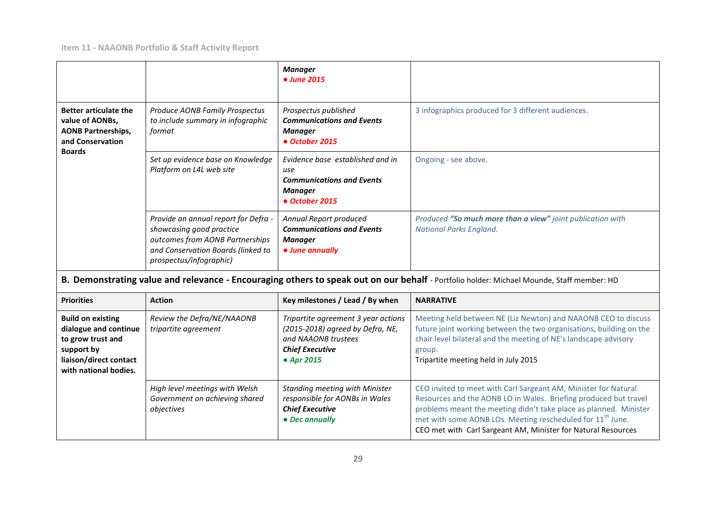|                                                                                                                                         |                                                                                                                                                                      | <b>Manager</b><br>• June 2015                                                                                                          |                                                                                                                                                                                                                                                                                                                                                     |
|-----------------------------------------------------------------------------------------------------------------------------------------|----------------------------------------------------------------------------------------------------------------------------------------------------------------------|----------------------------------------------------------------------------------------------------------------------------------------|-----------------------------------------------------------------------------------------------------------------------------------------------------------------------------------------------------------------------------------------------------------------------------------------------------------------------------------------------------|
| <b>Better articulate the</b><br>value of AONBs,<br><b>AONB Partnerships,</b><br>and Conservation                                        | Produce AONB Family Prospectus<br>to include summary in infographic<br>format                                                                                        | Prospectus published<br><b>Communications and Events</b><br><b>Manager</b><br>• October 2015                                           | 3 infographics produced for 3 different audiences.                                                                                                                                                                                                                                                                                                  |
| <b>Boards</b>                                                                                                                           | Set up evidence base on Knowledge<br>Platform on L4L web site                                                                                                        | Evidence base established and in<br>use<br><b>Communications and Events</b><br><b>Manager</b><br>• October 2015                        | Ongoing - see above.                                                                                                                                                                                                                                                                                                                                |
|                                                                                                                                         | Provide an annual report for Defra -<br>showcasing good practice<br>outcomes from AONB Partnerships<br>and Conservation Boards (linked to<br>prospectus/infographic) | Annual Report produced<br><b>Communications and Events</b><br><b>Manager</b><br>• June annually                                        | Produced "So much more than a view" joint publication with<br><b>National Parks England.</b>                                                                                                                                                                                                                                                        |
|                                                                                                                                         |                                                                                                                                                                      |                                                                                                                                        | B. Demonstrating value and relevance - Encouraging others to speak out on our behalf - Portfolio holder: Michael Mounde, Staff member: HD                                                                                                                                                                                                           |
| <b>Priorities</b>                                                                                                                       | <b>Action</b>                                                                                                                                                        | Key milestones / Lead / By when                                                                                                        | <b>NARRATIVE</b>                                                                                                                                                                                                                                                                                                                                    |
| <b>Build on existing</b><br>dialogue and continue<br>to grow trust and<br>support by<br>liaison/direct contact<br>with national bodies. | Review the Defra/NE/NAAONB<br>tripartite agreement                                                                                                                   | Tripartite agreement 3 year actions<br>(2015-2018) agreed by Defra, NE,<br>and NAAONB trustees<br><b>Chief Executive</b><br>• Apr 2015 | Meeting held between NE (Liz Newton) and NAAONB CEO to discuss<br>future joint working between the two organisations, building on the<br>chair level bilateral and the meeting of NE's landscape advisory<br>group.<br>Tripartite meeting held in July 2015                                                                                         |
|                                                                                                                                         | High level meetings with Welsh<br>Government on achieving shared<br>objectives                                                                                       | <b>Standing meeting with Minister</b><br>responsible for AONBs in Wales<br><b>Chief Executive</b><br>• Dec annually                    | CEO invited to meet with Carl Sargeant AM, Minister for Natural<br>Resources and the AONB LO in Wales. Briefing produced but travel<br>problems meant the meeting didn't take place as planned. Minister<br>met with some AONB LOs. Meeting rescheduled for 11 <sup>th</sup> June.<br>CEO met with Carl Sargeant AM, Minister for Natural Resources |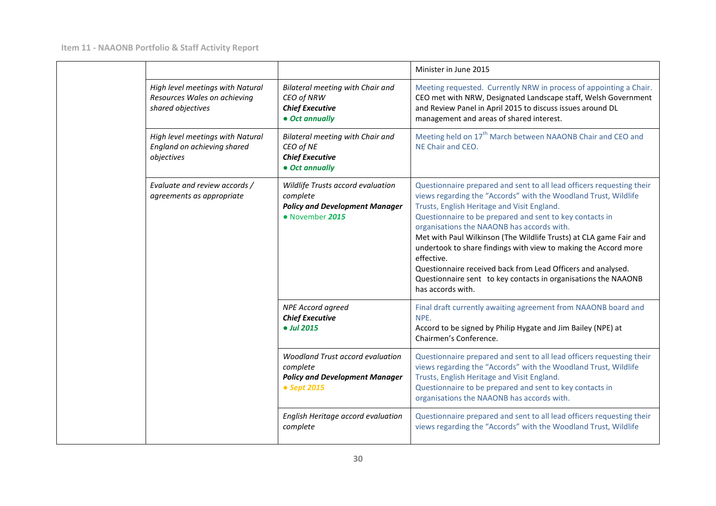|  |                                                                                       |                                                                                                           | Minister in June 2015                                                                                                                                                                                                                                                                                                                                                                                                                                                                                                                                                                                           |
|--|---------------------------------------------------------------------------------------|-----------------------------------------------------------------------------------------------------------|-----------------------------------------------------------------------------------------------------------------------------------------------------------------------------------------------------------------------------------------------------------------------------------------------------------------------------------------------------------------------------------------------------------------------------------------------------------------------------------------------------------------------------------------------------------------------------------------------------------------|
|  | High level meetings with Natural<br>Resources Wales on achieving<br>shared objectives | Bilateral meeting with Chair and<br>CEO of NRW<br><b>Chief Executive</b><br>• Oct annually                | Meeting requested. Currently NRW in process of appointing a Chair.<br>CEO met with NRW, Designated Landscape staff, Welsh Government<br>and Review Panel in April 2015 to discuss issues around DL<br>management and areas of shared interest.                                                                                                                                                                                                                                                                                                                                                                  |
|  | High level meetings with Natural<br>England on achieving shared<br>objectives         | Bilateral meeting with Chair and<br>CEO of NE<br><b>Chief Executive</b><br>• Oct annually                 | Meeting held on 17 <sup>th</sup> March between NAAONB Chair and CEO and<br>NE Chair and CEO.                                                                                                                                                                                                                                                                                                                                                                                                                                                                                                                    |
|  | Evaluate and review accords /<br>agreements as appropriate                            | Wildlife Trusts accord evaluation<br>complete<br><b>Policy and Development Manager</b><br>• November 2015 | Questionnaire prepared and sent to all lead officers requesting their<br>views regarding the "Accords" with the Woodland Trust, Wildlife<br>Trusts, English Heritage and Visit England.<br>Questionnaire to be prepared and sent to key contacts in<br>organisations the NAAONB has accords with.<br>Met with Paul Wilkinson (The Wildlife Trusts) at CLA game Fair and<br>undertook to share findings with view to making the Accord more<br>effective.<br>Questionnaire received back from Lead Officers and analysed.<br>Questionnaire sent to key contacts in organisations the NAAONB<br>has accords with. |
|  |                                                                                       | <b>NPE Accord agreed</b><br><b>Chief Executive</b><br>• Jul 2015                                          | Final draft currently awaiting agreement from NAAONB board and<br>NPE.<br>Accord to be signed by Philip Hygate and Jim Bailey (NPE) at<br>Chairmen's Conference.                                                                                                                                                                                                                                                                                                                                                                                                                                                |
|  |                                                                                       | Woodland Trust accord evaluation<br>complete<br><b>Policy and Development Manager</b><br>• Sept 2015      | Questionnaire prepared and sent to all lead officers requesting their<br>views regarding the "Accords" with the Woodland Trust, Wildlife<br>Trusts, English Heritage and Visit England.<br>Questionnaire to be prepared and sent to key contacts in<br>organisations the NAAONB has accords with.                                                                                                                                                                                                                                                                                                               |
|  |                                                                                       | English Heritage accord evaluation<br>complete                                                            | Questionnaire prepared and sent to all lead officers requesting their<br>views regarding the "Accords" with the Woodland Trust, Wildlife                                                                                                                                                                                                                                                                                                                                                                                                                                                                        |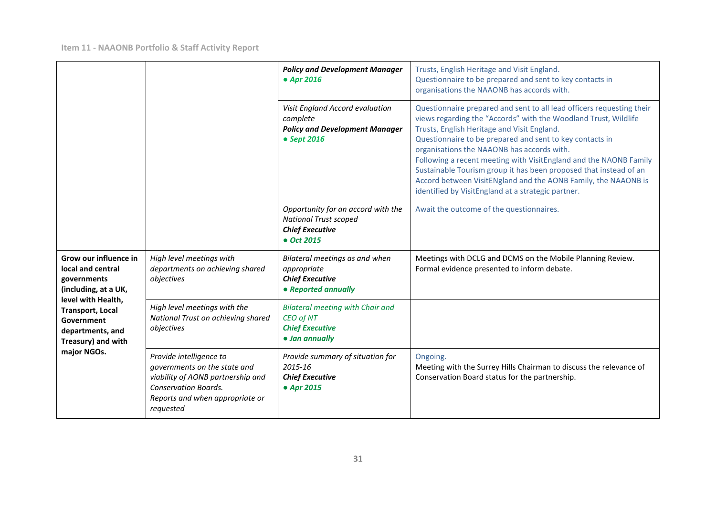|                                                                                                                                                                                                           |                                                                                                                                                                             | <b>Policy and Development Manager</b><br>• Apr 2016                                                        | Trusts, English Heritage and Visit England.<br>Questionnaire to be prepared and sent to key contacts in<br>organisations the NAAONB has accords with.                                                                                                                                                                                                                                                                                                                                                                                                               |
|-----------------------------------------------------------------------------------------------------------------------------------------------------------------------------------------------------------|-----------------------------------------------------------------------------------------------------------------------------------------------------------------------------|------------------------------------------------------------------------------------------------------------|---------------------------------------------------------------------------------------------------------------------------------------------------------------------------------------------------------------------------------------------------------------------------------------------------------------------------------------------------------------------------------------------------------------------------------------------------------------------------------------------------------------------------------------------------------------------|
|                                                                                                                                                                                                           |                                                                                                                                                                             | Visit England Accord evaluation<br>complete<br><b>Policy and Development Manager</b><br>• Sept 2016        | Questionnaire prepared and sent to all lead officers requesting their<br>views regarding the "Accords" with the Woodland Trust, Wildlife<br>Trusts, English Heritage and Visit England.<br>Questionnaire to be prepared and sent to key contacts in<br>organisations the NAAONB has accords with.<br>Following a recent meeting with VisitEngland and the NAONB Family<br>Sustainable Tourism group it has been proposed that instead of an<br>Accord between VisitENgland and the AONB Family, the NAAONB is<br>identified by VisitEngland at a strategic partner. |
|                                                                                                                                                                                                           |                                                                                                                                                                             | Opportunity for an accord with the<br><b>National Trust scoped</b><br><b>Chief Executive</b><br>• Oct 2015 | Await the outcome of the questionnaires.                                                                                                                                                                                                                                                                                                                                                                                                                                                                                                                            |
| Grow our influence in<br>local and central<br>governments<br>(including, at a UK,<br>level with Health,<br><b>Transport, Local</b><br>Government<br>departments, and<br>Treasury) and with<br>major NGOs. | High level meetings with<br>departments on achieving shared<br>objectives                                                                                                   | Bilateral meetings as and when<br>appropriate<br><b>Chief Executive</b><br>• Reported annually             | Meetings with DCLG and DCMS on the Mobile Planning Review.<br>Formal evidence presented to inform debate.                                                                                                                                                                                                                                                                                                                                                                                                                                                           |
|                                                                                                                                                                                                           | High level meetings with the<br>National Trust on achieving shared<br>objectives                                                                                            | <b>Bilateral meeting with Chair and</b><br>CEO of NT<br><b>Chief Executive</b><br>· Jan annually           |                                                                                                                                                                                                                                                                                                                                                                                                                                                                                                                                                                     |
|                                                                                                                                                                                                           | Provide intelligence to<br>governments on the state and<br>viability of AONB partnership and<br><b>Conservation Boards.</b><br>Reports and when appropriate or<br>requested | Provide summary of situation for<br>$2015 - 16$<br><b>Chief Executive</b><br>• Apr 2015                    | Ongoing.<br>Meeting with the Surrey Hills Chairman to discuss the relevance of<br>Conservation Board status for the partnership.                                                                                                                                                                                                                                                                                                                                                                                                                                    |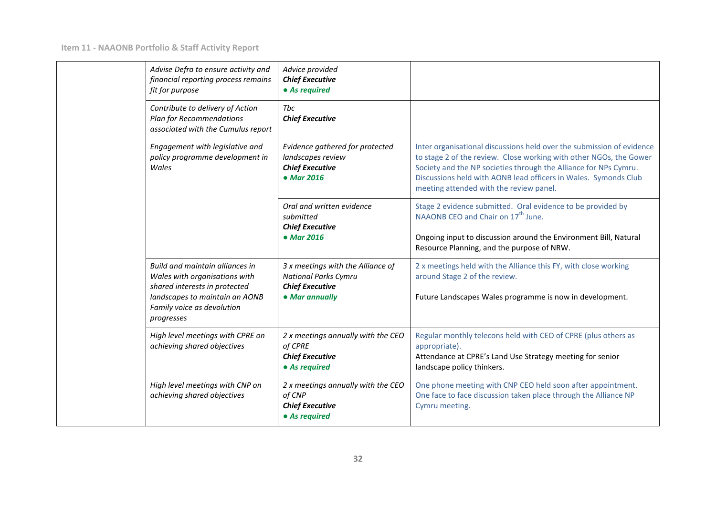|  | Advise Defra to ensure activity and<br>financial reporting process remains<br>fit for purpose                                                                                   | Advice provided<br><b>Chief Executive</b><br>• As required                                                   |                                                                                                                                                                                                                                                                                                                               |
|--|---------------------------------------------------------------------------------------------------------------------------------------------------------------------------------|--------------------------------------------------------------------------------------------------------------|-------------------------------------------------------------------------------------------------------------------------------------------------------------------------------------------------------------------------------------------------------------------------------------------------------------------------------|
|  | Contribute to delivery of Action<br><b>Plan for Recommendations</b><br>associated with the Cumulus report                                                                       | Tbc<br><b>Chief Executive</b>                                                                                |                                                                                                                                                                                                                                                                                                                               |
|  | Engagement with legislative and<br>policy programme development in<br>Wales                                                                                                     | Evidence gathered for protected<br>landscapes review<br><b>Chief Executive</b><br>• Mar 2016                 | Inter organisational discussions held over the submission of evidence<br>to stage 2 of the review. Close working with other NGOs, the Gower<br>Society and the NP societies through the Alliance for NPs Cymru.<br>Discussions held with AONB lead officers in Wales. Symonds Club<br>meeting attended with the review panel. |
|  |                                                                                                                                                                                 | Oral and written evidence<br>submitted<br><b>Chief Executive</b><br>• Mar 2016                               | Stage 2 evidence submitted. Oral evidence to be provided by<br>NAAONB CEO and Chair on 17 <sup>th</sup> June.<br>Ongoing input to discussion around the Environment Bill, Natural<br>Resource Planning, and the purpose of NRW.                                                                                               |
|  | Build and maintain alliances in<br>Wales with organisations with<br>shared interests in protected<br>landscapes to maintain an AONB<br>Family voice as devolution<br>progresses | 3 x meetings with the Alliance of<br><b>National Parks Cymru</b><br><b>Chief Executive</b><br>• Mar annually | 2 x meetings held with the Alliance this FY, with close working<br>around Stage 2 of the review.<br>Future Landscapes Wales programme is now in development.                                                                                                                                                                  |
|  | High level meetings with CPRE on<br>achieving shared objectives                                                                                                                 | 2 x meetings annually with the CEO<br>of CPRE<br><b>Chief Executive</b><br>• As required                     | Regular monthly telecons held with CEO of CPRE (plus others as<br>appropriate).<br>Attendance at CPRE's Land Use Strategy meeting for senior<br>landscape policy thinkers.                                                                                                                                                    |
|  | High level meetings with CNP on<br>achieving shared objectives                                                                                                                  | 2 x meetings annually with the CEO<br>of CNP<br><b>Chief Executive</b><br>• As required                      | One phone meeting with CNP CEO held soon after appointment.<br>One face to face discussion taken place through the Alliance NP<br>Cymru meeting.                                                                                                                                                                              |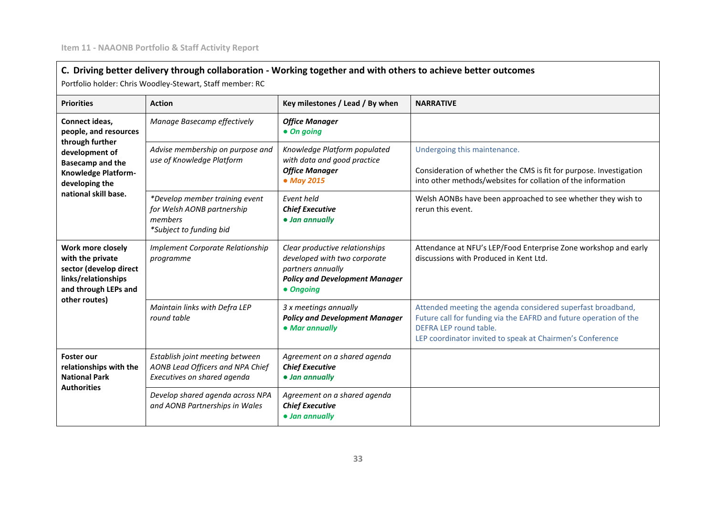# **C. Driving better delivery through collaboration - Working together and with others to achieve better outcomes**

Portfolio holder: Chris Woodley-Stewart, Staff member: RC

| <b>Priorities</b>                                                                                                                                                        | <b>Action</b>                                                                                      | Key milestones / Lead / By when                                                                                                           | <b>NARRATIVE</b>                                                                                                                                                                                                        |
|--------------------------------------------------------------------------------------------------------------------------------------------------------------------------|----------------------------------------------------------------------------------------------------|-------------------------------------------------------------------------------------------------------------------------------------------|-------------------------------------------------------------------------------------------------------------------------------------------------------------------------------------------------------------------------|
| Connect ideas,<br>people, and resources<br>through further<br>development of<br><b>Basecamp and the</b><br>Knowledge Platform-<br>developing the<br>national skill base. | Manage Basecamp effectively                                                                        | <b>Office Manager</b><br>• On going                                                                                                       |                                                                                                                                                                                                                         |
|                                                                                                                                                                          | Advise membership on purpose and<br>use of Knowledge Platform                                      | Knowledge Platform populated<br>with data and good practice<br><b>Office Manager</b><br>• May 2015                                        | Undergoing this maintenance.<br>Consideration of whether the CMS is fit for purpose. Investigation<br>into other methods/websites for collation of the information                                                      |
|                                                                                                                                                                          | *Develop member training event<br>for Welsh AONB partnership<br>members<br>*Subject to funding bid | Event held<br><b>Chief Executive</b><br>· Jan annually                                                                                    | Welsh AONBs have been approached to see whether they wish to<br>rerun this event.                                                                                                                                       |
| Work more closely<br>with the private<br>sector (develop direct<br>links/relationships<br>and through LEPs and<br>other routes)                                          | Implement Corporate Relationship<br>programme                                                      | Clear productive relationships<br>developed with two corporate<br>partners annually<br><b>Policy and Development Manager</b><br>• Ongoing | Attendance at NFU's LEP/Food Enterprise Zone workshop and early<br>discussions with Produced in Kent Ltd.                                                                                                               |
|                                                                                                                                                                          | Maintain links with Defra LEP<br>round table                                                       | 3 x meetings annually<br><b>Policy and Development Manager</b><br>• Mar annually                                                          | Attended meeting the agenda considered superfast broadband,<br>Future call for funding via the EAFRD and future operation of the<br>DEFRA LEP round table.<br>LEP coordinator invited to speak at Chairmen's Conference |
| <b>Foster our</b><br>relationships with the<br><b>National Park</b><br><b>Authorities</b>                                                                                | Establish joint meeting between<br>AONB Lead Officers and NPA Chief<br>Executives on shared agenda | Agreement on a shared agenda<br><b>Chief Executive</b><br>· Jan annually                                                                  |                                                                                                                                                                                                                         |
|                                                                                                                                                                          | Develop shared agenda across NPA<br>and AONB Partnerships in Wales                                 | Agreement on a shared agenda<br><b>Chief Executive</b><br>• Jan annually                                                                  |                                                                                                                                                                                                                         |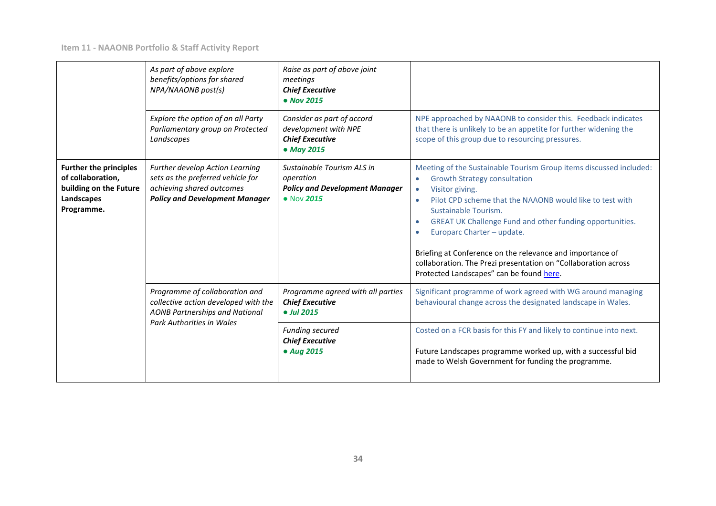|                                                                                                          | As part of above explore<br>benefits/options for shared<br>NPA/NAAONB post(s)                                                                | Raise as part of above joint<br>meetings<br><b>Chief Executive</b><br>• Nov 2015               |                                                                                                                                                                                                                                                                                                                                                                                                                                                                                                                                           |
|----------------------------------------------------------------------------------------------------------|----------------------------------------------------------------------------------------------------------------------------------------------|------------------------------------------------------------------------------------------------|-------------------------------------------------------------------------------------------------------------------------------------------------------------------------------------------------------------------------------------------------------------------------------------------------------------------------------------------------------------------------------------------------------------------------------------------------------------------------------------------------------------------------------------------|
|                                                                                                          | Explore the option of an all Party<br>Parliamentary group on Protected<br>Landscapes                                                         | Consider as part of accord<br>development with NPE<br><b>Chief Executive</b><br>• May 2015     | NPE approached by NAAONB to consider this. Feedback indicates<br>that there is unlikely to be an appetite for further widening the<br>scope of this group due to resourcing pressures.                                                                                                                                                                                                                                                                                                                                                    |
| <b>Further the principles</b><br>of collaboration,<br>building on the Future<br>Landscapes<br>Programme. | Further develop Action Learning<br>sets as the preferred vehicle for<br>achieving shared outcomes<br><b>Policy and Development Manager</b>   | Sustainable Tourism ALS in<br>operation<br><b>Policy and Development Manager</b><br>• Nov 2015 | Meeting of the Sustainable Tourism Group items discussed included:<br><b>Growth Strategy consultation</b><br>$\bullet$<br>Visitor giving.<br>$\bullet$<br>Pilot CPD scheme that the NAAONB would like to test with<br>$\bullet$<br>Sustainable Tourism.<br>GREAT UK Challenge Fund and other funding opportunities.<br>$\bullet$<br>Europarc Charter - update.<br>Briefing at Conference on the relevance and importance of<br>collaboration. The Prezi presentation on "Collaboration across<br>Protected Landscapes" can be found here. |
|                                                                                                          | Programme of collaboration and<br>collective action developed with the<br><b>AONB Partnerships and National</b><br>Park Authorities in Wales | Programme agreed with all parties<br><b>Chief Executive</b><br>• Jul 2015                      | Significant programme of work agreed with WG around managing<br>behavioural change across the designated landscape in Wales.                                                                                                                                                                                                                                                                                                                                                                                                              |
|                                                                                                          |                                                                                                                                              | <b>Funding secured</b><br><b>Chief Executive</b><br>• Aug 2015                                 | Costed on a FCR basis for this FY and likely to continue into next.<br>Future Landscapes programme worked up, with a successful bid<br>made to Welsh Government for funding the programme.                                                                                                                                                                                                                                                                                                                                                |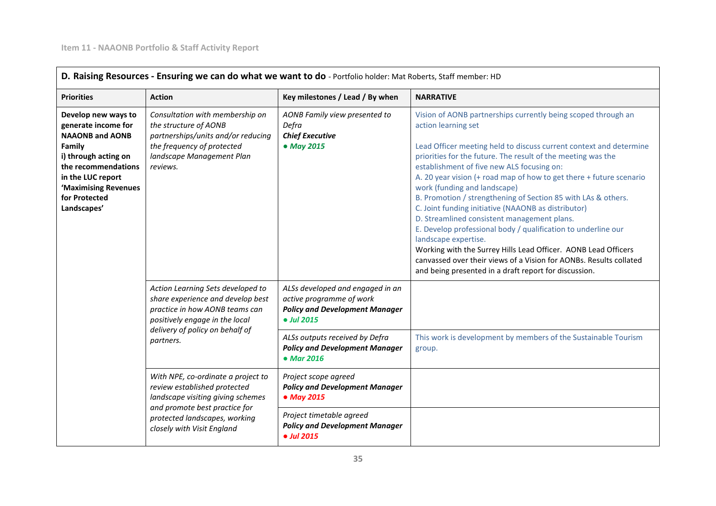$\Gamma$ 

| <b>Priorities</b>                                                                                                                                                                                          | <b>Action</b>                                                                                                                                                                                           | Key milestones / Lead / By when                                                                                     | <b>NARRATIVE</b>                                                                                                                                                                                                                                                                                                                                                                                                                                                                                                                                                                                                                                                                                                                                                                                                                                 |
|------------------------------------------------------------------------------------------------------------------------------------------------------------------------------------------------------------|---------------------------------------------------------------------------------------------------------------------------------------------------------------------------------------------------------|---------------------------------------------------------------------------------------------------------------------|--------------------------------------------------------------------------------------------------------------------------------------------------------------------------------------------------------------------------------------------------------------------------------------------------------------------------------------------------------------------------------------------------------------------------------------------------------------------------------------------------------------------------------------------------------------------------------------------------------------------------------------------------------------------------------------------------------------------------------------------------------------------------------------------------------------------------------------------------|
| Develop new ways to<br>generate income for<br><b>NAAONB and AONB</b><br>Family<br>i) through acting on<br>the recommendations<br>in the LUC report<br>'Maximising Revenues<br>for Protected<br>Landscapes' | Consultation with membership on<br>the structure of AONB<br>partnerships/units and/or reducing<br>the frequency of protected<br>landscape Management Plan<br>reviews.                                   | AONB Family view presented to<br>Defra<br><b>Chief Executive</b><br>• May 2015                                      | Vision of AONB partnerships currently being scoped through an<br>action learning set<br>Lead Officer meeting held to discuss current context and determine<br>priorities for the future. The result of the meeting was the<br>establishment of five new ALS focusing on:<br>A. 20 year vision (+ road map of how to get there + future scenario<br>work (funding and landscape)<br>B. Promotion / strengthening of Section 85 with LAs & others.<br>C. Joint funding initiative (NAAONB as distributor)<br>D. Streamlined consistent management plans.<br>E. Develop professional body / qualification to underline our<br>landscape expertise.<br>Working with the Surrey Hills Lead Officer. AONB Lead Officers<br>canvassed over their views of a Vision for AONBs. Results collated<br>and being presented in a draft report for discussion. |
|                                                                                                                                                                                                            | Action Learning Sets developed to<br>share experience and develop best<br>practice in how AONB teams can<br>positively engage in the local<br>delivery of policy on behalf of<br>partners.              | ALSs developed and engaged in an<br>active programme of work<br><b>Policy and Development Manager</b><br>• Jul 2015 |                                                                                                                                                                                                                                                                                                                                                                                                                                                                                                                                                                                                                                                                                                                                                                                                                                                  |
|                                                                                                                                                                                                            |                                                                                                                                                                                                         | ALSs outputs received by Defra<br><b>Policy and Development Manager</b><br>• Mar 2016                               | This work is development by members of the Sustainable Tourism<br>group.                                                                                                                                                                                                                                                                                                                                                                                                                                                                                                                                                                                                                                                                                                                                                                         |
|                                                                                                                                                                                                            | With NPE, co-ordinate a project to<br>review established protected<br>landscape visiting giving schemes<br>and promote best practice for<br>protected landscapes, working<br>closely with Visit England | Project scope agreed<br><b>Policy and Development Manager</b><br>• May 2015                                         |                                                                                                                                                                                                                                                                                                                                                                                                                                                                                                                                                                                                                                                                                                                                                                                                                                                  |
|                                                                                                                                                                                                            |                                                                                                                                                                                                         | Project timetable agreed<br><b>Policy and Development Manager</b><br>• Jul 2015                                     |                                                                                                                                                                                                                                                                                                                                                                                                                                                                                                                                                                                                                                                                                                                                                                                                                                                  |

#### **35**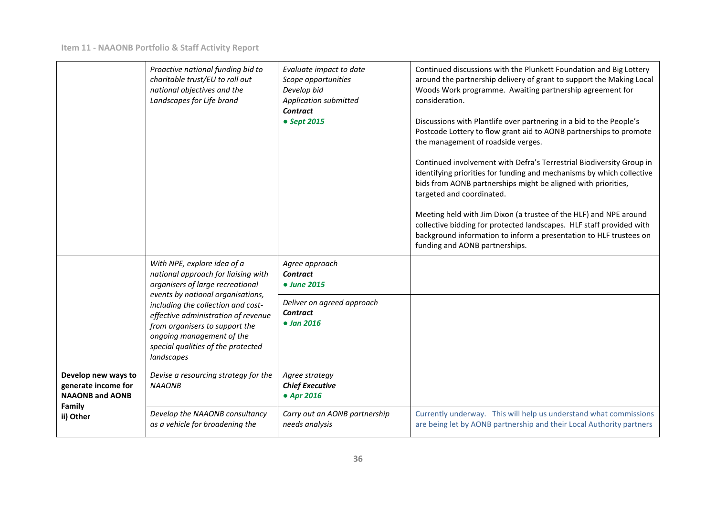|                                                                      | Proactive national funding bid to<br>charitable trust/EU to roll out<br>national objectives and the<br>Landscapes for Life brand                                                                                                                                                                                                            | Evaluate impact to date<br>Scope opportunities<br>Develop bid<br>Application submitted<br><b>Contract</b><br>• Sept 2015 | Continued discussions with the Plunkett Foundation and Big Lottery<br>around the partnership delivery of grant to support the Making Local<br>Woods Work programme. Awaiting partnership agreement for<br>consideration.<br>Discussions with Plantlife over partnering in a bid to the People's<br>Postcode Lottery to flow grant aid to AONB partnerships to promote<br>the management of roadside verges.<br>Continued involvement with Defra's Terrestrial Biodiversity Group in<br>identifying priorities for funding and mechanisms by which collective<br>bids from AONB partnerships might be aligned with priorities,<br>targeted and coordinated.<br>Meeting held with Jim Dixon (a trustee of the HLF) and NPE around<br>collective bidding for protected landscapes. HLF staff provided with<br>background information to inform a presentation to HLF trustees on<br>funding and AONB partnerships. |
|----------------------------------------------------------------------|---------------------------------------------------------------------------------------------------------------------------------------------------------------------------------------------------------------------------------------------------------------------------------------------------------------------------------------------|--------------------------------------------------------------------------------------------------------------------------|-----------------------------------------------------------------------------------------------------------------------------------------------------------------------------------------------------------------------------------------------------------------------------------------------------------------------------------------------------------------------------------------------------------------------------------------------------------------------------------------------------------------------------------------------------------------------------------------------------------------------------------------------------------------------------------------------------------------------------------------------------------------------------------------------------------------------------------------------------------------------------------------------------------------|
|                                                                      | With NPE, explore idea of a<br>national approach for liaising with<br>organisers of large recreational<br>events by national organisations,<br>including the collection and cost-<br>effective administration of revenue<br>from organisers to support the<br>ongoing management of the<br>special qualities of the protected<br>landscapes | Agree approach<br><b>Contract</b><br>• June 2015                                                                         |                                                                                                                                                                                                                                                                                                                                                                                                                                                                                                                                                                                                                                                                                                                                                                                                                                                                                                                 |
|                                                                      |                                                                                                                                                                                                                                                                                                                                             | Deliver on agreed approach<br><b>Contract</b><br>$\bullet$ Jan 2016                                                      |                                                                                                                                                                                                                                                                                                                                                                                                                                                                                                                                                                                                                                                                                                                                                                                                                                                                                                                 |
| Develop new ways to<br>generate income for<br><b>NAAONB and AONB</b> | Devise a resourcing strategy for the<br><b>NAAONB</b>                                                                                                                                                                                                                                                                                       | Agree strategy<br><b>Chief Executive</b><br>• Apr 2016                                                                   |                                                                                                                                                                                                                                                                                                                                                                                                                                                                                                                                                                                                                                                                                                                                                                                                                                                                                                                 |
| Family<br>ii) Other                                                  | Develop the NAAONB consultancy<br>as a vehicle for broadening the                                                                                                                                                                                                                                                                           | Carry out an AONB partnership<br>needs analysis                                                                          | Currently underway. This will help us understand what commissions<br>are being let by AONB partnership and their Local Authority partners                                                                                                                                                                                                                                                                                                                                                                                                                                                                                                                                                                                                                                                                                                                                                                       |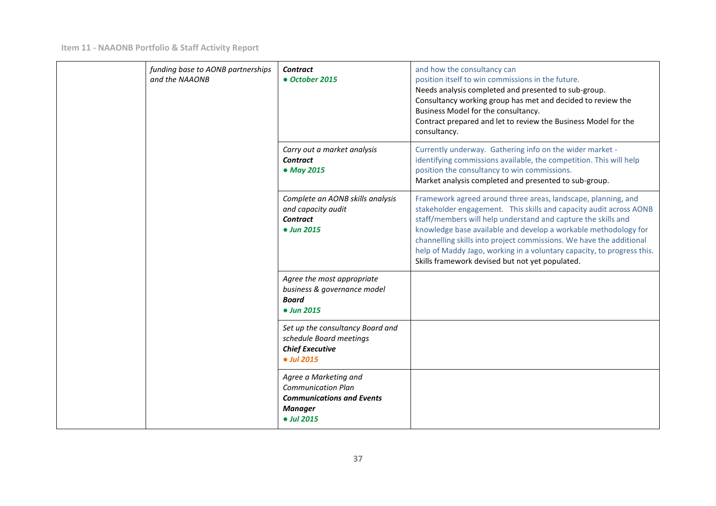| funding base to AONB partnerships<br>and the NAAONB | <b>Contract</b><br>• October 2015                                                                                      | and how the consultancy can<br>position itself to win commissions in the future.<br>Needs analysis completed and presented to sub-group.<br>Consultancy working group has met and decided to review the<br>Business Model for the consultancy.<br>Contract prepared and let to review the Business Model for the<br>consultancy.                                                                                                                                            |
|-----------------------------------------------------|------------------------------------------------------------------------------------------------------------------------|-----------------------------------------------------------------------------------------------------------------------------------------------------------------------------------------------------------------------------------------------------------------------------------------------------------------------------------------------------------------------------------------------------------------------------------------------------------------------------|
|                                                     | Carry out a market analysis<br><b>Contract</b><br>• May 2015                                                           | Currently underway. Gathering info on the wider market -<br>identifying commissions available, the competition. This will help<br>position the consultancy to win commissions.<br>Market analysis completed and presented to sub-group.                                                                                                                                                                                                                                     |
|                                                     | Complete an AONB skills analysis<br>and capacity audit<br><b>Contract</b><br>• Jun 2015                                | Framework agreed around three areas, landscape, planning, and<br>stakeholder engagement. This skills and capacity audit across AONB<br>staff/members will help understand and capture the skills and<br>knowledge base available and develop a workable methodology for<br>channelling skills into project commissions. We have the additional<br>help of Maddy Jago, working in a voluntary capacity, to progress this.<br>Skills framework devised but not yet populated. |
|                                                     | Agree the most appropriate<br>business & governance model<br><b>Board</b><br>• Jun 2015                                |                                                                                                                                                                                                                                                                                                                                                                                                                                                                             |
|                                                     | Set up the consultancy Board and<br>schedule Board meetings<br><b>Chief Executive</b><br>• Jul 2015                    |                                                                                                                                                                                                                                                                                                                                                                                                                                                                             |
|                                                     | Agree a Marketing and<br><b>Communication Plan</b><br><b>Communications and Events</b><br><b>Manager</b><br>• Jul 2015 |                                                                                                                                                                                                                                                                                                                                                                                                                                                                             |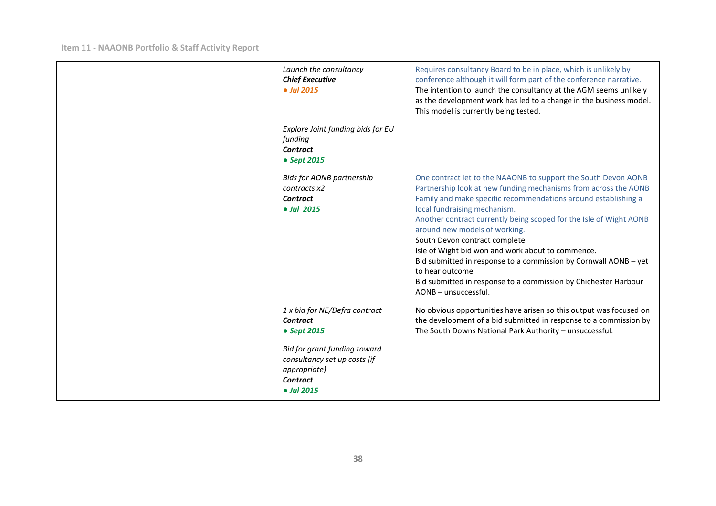|  |                                                                                                                       | Launch the consultancy<br><b>Chief Executive</b><br>$ol$ ul 2015                                                                                                                                   | Requires consultancy Board to be in place, which is unlikely by<br>conference although it will form part of the conference narrative.<br>The intention to launch the consultancy at the AGM seems unlikely<br>as the development work has led to a change in the business model.<br>This model is currently being tested.                                                                                                                                                                                                                                                                                          |
|--|-----------------------------------------------------------------------------------------------------------------------|----------------------------------------------------------------------------------------------------------------------------------------------------------------------------------------------------|--------------------------------------------------------------------------------------------------------------------------------------------------------------------------------------------------------------------------------------------------------------------------------------------------------------------------------------------------------------------------------------------------------------------------------------------------------------------------------------------------------------------------------------------------------------------------------------------------------------------|
|  | Explore Joint funding bids for EU<br>funding<br>Contract<br>• Sept 2015                                               |                                                                                                                                                                                                    |                                                                                                                                                                                                                                                                                                                                                                                                                                                                                                                                                                                                                    |
|  |                                                                                                                       | <b>Bids for AONB partnership</b><br>contracts x2<br>Contract<br>• Jul 2015                                                                                                                         | One contract let to the NAAONB to support the South Devon AONB<br>Partnership look at new funding mechanisms from across the AONB<br>Family and make specific recommendations around establishing a<br>local fundraising mechanism.<br>Another contract currently being scoped for the Isle of Wight AONB<br>around new models of working.<br>South Devon contract complete<br>Isle of Wight bid won and work about to commence.<br>Bid submitted in response to a commission by Cornwall AONB - yet<br>to hear outcome<br>Bid submitted in response to a commission by Chichester Harbour<br>AONB - unsuccessful. |
|  | 1 x bid for NE/Defra contract<br>Contract<br>• Sept 2015                                                              | No obvious opportunities have arisen so this output was focused on<br>the development of a bid submitted in response to a commission by<br>The South Downs National Park Authority - unsuccessful. |                                                                                                                                                                                                                                                                                                                                                                                                                                                                                                                                                                                                                    |
|  | Bid for grant funding toward<br>consultancy set up costs (if<br><i>appropriate</i> )<br><b>Contract</b><br>• Jul 2015 |                                                                                                                                                                                                    |                                                                                                                                                                                                                                                                                                                                                                                                                                                                                                                                                                                                                    |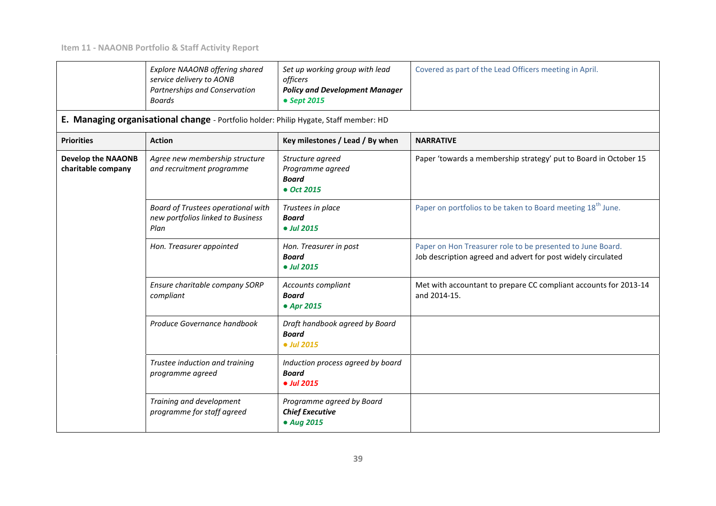|                                                 | <b>Explore NAAONB offering shared</b><br>service delivery to AONB<br>Partnerships and Conservation<br><b>Boards</b> | Set up working group with lead<br>officers<br><b>Policy and Development Manager</b><br>• Sept 2015 | Covered as part of the Lead Officers meeting in April.                                                                     |
|-------------------------------------------------|---------------------------------------------------------------------------------------------------------------------|----------------------------------------------------------------------------------------------------|----------------------------------------------------------------------------------------------------------------------------|
|                                                 | E. Managing organisational change - Portfolio holder: Philip Hygate, Staff member: HD                               |                                                                                                    |                                                                                                                            |
| <b>Priorities</b>                               | <b>Action</b>                                                                                                       | Key milestones / Lead / By when                                                                    | <b>NARRATIVE</b>                                                                                                           |
| <b>Develop the NAAONB</b><br>charitable company | Agree new membership structure<br>and recruitment programme                                                         | Structure agreed<br>Programme agreed<br><b>Board</b><br>• Oct 2015                                 | Paper 'towards a membership strategy' put to Board in October 15                                                           |
|                                                 | Board of Trustees operational with<br>new portfolios linked to Business<br>Plan                                     | Trustees in place<br><b>Board</b><br>• Jul 2015                                                    | Paper on portfolios to be taken to Board meeting 18 <sup>th</sup> June.                                                    |
|                                                 | Hon. Treasurer appointed                                                                                            | Hon. Treasurer in post<br><b>Board</b><br>• Jul 2015                                               | Paper on Hon Treasurer role to be presented to June Board.<br>Job description agreed and advert for post widely circulated |
|                                                 | Ensure charitable company SORP<br>compliant                                                                         | Accounts compliant<br><b>Board</b><br>• Apr 2015                                                   | Met with accountant to prepare CC compliant accounts for 2013-14<br>and 2014-15.                                           |
|                                                 | Produce Governance handbook                                                                                         | Draft handbook agreed by Board<br><b>Board</b><br>• Jul 2015                                       |                                                                                                                            |
|                                                 | Trustee induction and training<br>programme agreed                                                                  | Induction process agreed by board<br><b>Board</b><br>• Jul 2015                                    |                                                                                                                            |
|                                                 | Training and development<br>programme for staff agreed                                                              | Programme agreed by Board<br><b>Chief Executive</b><br>• Aug 2015                                  |                                                                                                                            |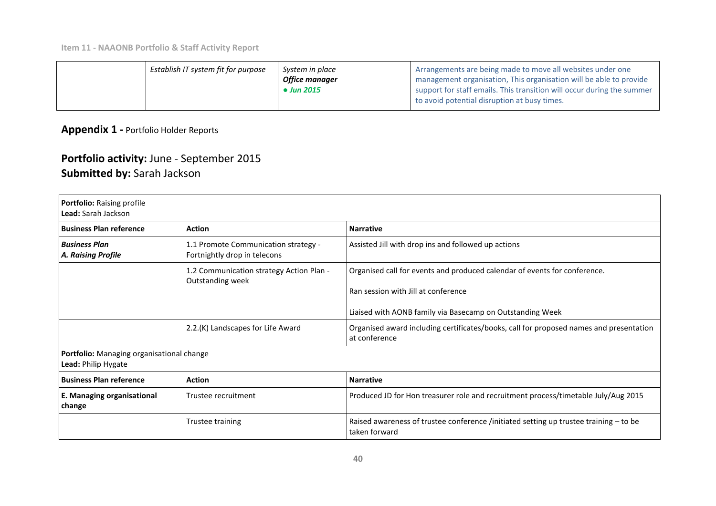| Establish IT system fit for purpose | System in place       | Arrangements are being made to move all websites under one             |
|-------------------------------------|-----------------------|------------------------------------------------------------------------|
|                                     | <b>Office manager</b> | I management organisation, This organisation will be able to provide   |
|                                     | • Jun 2015            | support for staff emails. This transition will occur during the summer |
|                                     |                       | to avoid potential disruption at busy times.                           |

**Appendix 1 -** Portfolio Holder Reports

# **Portfolio activity:** June - September 2015 **Submitted by:** Sarah Jackson

| <b>Portfolio: Raising profile</b><br>Lead: Sarah Jackson         |                                                                      |                                                                                                                  |
|------------------------------------------------------------------|----------------------------------------------------------------------|------------------------------------------------------------------------------------------------------------------|
| <b>Business Plan reference</b>                                   | <b>Action</b>                                                        | <b>Narrative</b>                                                                                                 |
| <b>Business Plan</b><br>A. Raising Profile                       | 1.1 Promote Communication strategy -<br>Fortnightly drop in telecons | Assisted Jill with drop ins and followed up actions                                                              |
|                                                                  | 1.2 Communication strategy Action Plan -<br>Outstanding week         | Organised call for events and produced calendar of events for conference.<br>Ran session with Jill at conference |
|                                                                  |                                                                      | Liaised with AONB family via Basecamp on Outstanding Week                                                        |
|                                                                  | 2.2.(K) Landscapes for Life Award                                    | Organised award including certificates/books, call for proposed names and presentation<br>at conference          |
| Portfolio: Managing organisational change<br>Lead: Philip Hygate |                                                                      |                                                                                                                  |
| <b>Business Plan reference</b>                                   | <b>Action</b>                                                        | <b>Narrative</b>                                                                                                 |
| E. Managing organisational<br>change                             | Trustee recruitment                                                  | Produced JD for Hon treasurer role and recruitment process/timetable July/Aug 2015                               |
|                                                                  | <b>Trustee training</b>                                              | Raised awareness of trustee conference /initiated setting up trustee training $-$ to be<br>taken forward         |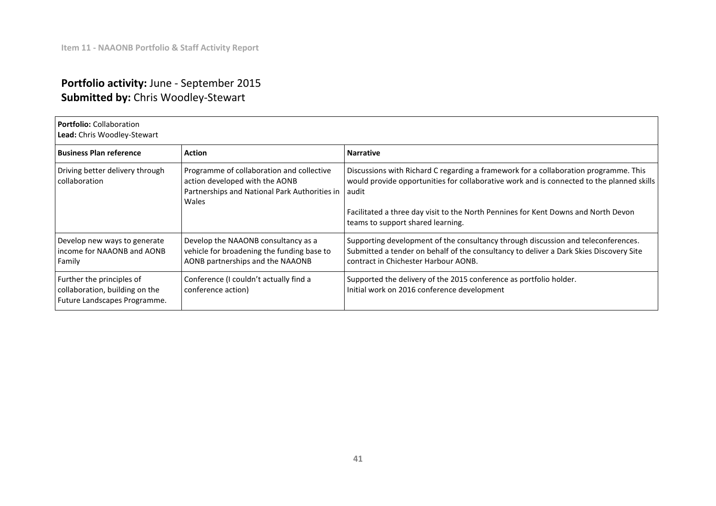# **Portfolio activity:** June - September 2015 **Submitted by:** Chris Woodley-Stewart

## **Portfolio:** Collaboration **Lead:** Chris Woodley-Stewart

| <b>Business Plan reference</b>                                                              | <b>Action</b>                                                                                                                               | <b>Narrative</b>                                                                                                                                                                                                                                                                                             |
|---------------------------------------------------------------------------------------------|---------------------------------------------------------------------------------------------------------------------------------------------|--------------------------------------------------------------------------------------------------------------------------------------------------------------------------------------------------------------------------------------------------------------------------------------------------------------|
| Driving better delivery through<br>collaboration                                            | Programme of collaboration and collective<br>action developed with the AONB<br>Partnerships and National Park Authorities in audit<br>Wales | Discussions with Richard C regarding a framework for a collaboration programme. This<br>would provide opportunities for collaborative work and is connected to the planned skills<br>Facilitated a three day visit to the North Pennines for Kent Downs and North Devon<br>teams to support shared learning. |
| Develop new ways to generate<br>income for NAAONB and AONB<br>Family                        | Develop the NAAONB consultancy as a<br>vehicle for broadening the funding base to<br>AONB partnerships and the NAAONB                       | Supporting development of the consultancy through discussion and teleconferences.<br>Submitted a tender on behalf of the consultancy to deliver a Dark Skies Discovery Site<br>contract in Chichester Harbour AONB.                                                                                          |
| Further the principles of<br>collaboration, building on the<br>Future Landscapes Programme. | Conference (I couldn't actually find a<br>conference action)                                                                                | Supported the delivery of the 2015 conference as portfolio holder.<br>Initial work on 2016 conference development                                                                                                                                                                                            |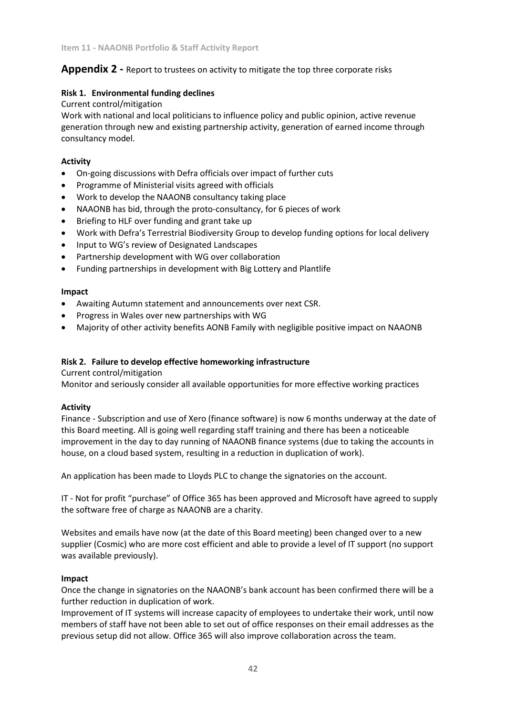## **Appendix 2 -** Report to trustees on activity to mitigate the top three corporate risks

## **Risk 1. Environmental funding declines**

#### Current control/mitigation

Work with national and local politicians to influence policy and public opinion, active revenue generation through new and existing partnership activity, generation of earned income through consultancy model.

## **Activity**

- On-going discussions with Defra officials over impact of further cuts
- Programme of Ministerial visits agreed with officials
- Work to develop the NAAONB consultancy taking place
- NAAONB has bid, through the proto-consultancy, for 6 pieces of work
- Briefing to HLF over funding and grant take up
- Work with Defra's Terrestrial Biodiversity Group to develop funding options for local delivery
- Input to WG's review of Designated Landscapes
- Partnership development with WG over collaboration
- Funding partnerships in development with Big Lottery and Plantlife

#### **Impact**

- Awaiting Autumn statement and announcements over next CSR.
- Progress in Wales over new partnerships with WG
- Majority of other activity benefits AONB Family with negligible positive impact on NAAONB

#### **Risk 2. Failure to develop effective homeworking infrastructure**

Current control/mitigation

Monitor and seriously consider all available opportunities for more effective working practices

#### **Activity**

Finance - Subscription and use of Xero (finance software) is now 6 months underway at the date of this Board meeting. All is going well regarding staff training and there has been a noticeable improvement in the day to day running of NAAONB finance systems (due to taking the accounts in house, on a cloud based system, resulting in a reduction in duplication of work).

An application has been made to Lloyds PLC to change the signatories on the account.

IT - Not for profit "purchase" of Office 365 has been approved and Microsoft have agreed to supply the software free of charge as NAAONB are a charity.

Websites and emails have now (at the date of this Board meeting) been changed over to a new supplier (Cosmic) who are more cost efficient and able to provide a level of IT support (no support was available previously).

#### **Impact**

Once the change in signatories on the NAAONB's bank account has been confirmed there will be a further reduction in duplication of work.

Improvement of IT systems will increase capacity of employees to undertake their work, until now members of staff have not been able to set out of office responses on their email addresses as the previous setup did not allow. Office 365 will also improve collaboration across the team.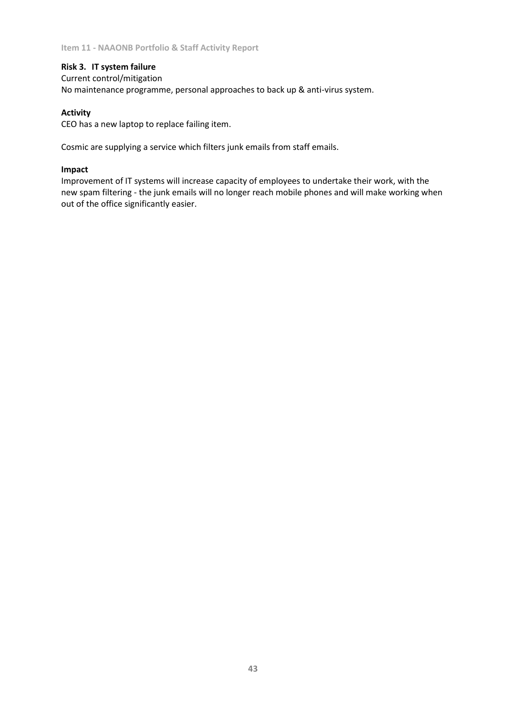## **Risk 3. IT system failure**

Current control/mitigation No maintenance programme, personal approaches to back up & anti-virus system.

#### **Activity**

CEO has a new laptop to replace failing item.

Cosmic are supplying a service which filters junk emails from staff emails.

#### **Impact**

Improvement of IT systems will increase capacity of employees to undertake their work, with the new spam filtering - the junk emails will no longer reach mobile phones and will make working when out of the office significantly easier.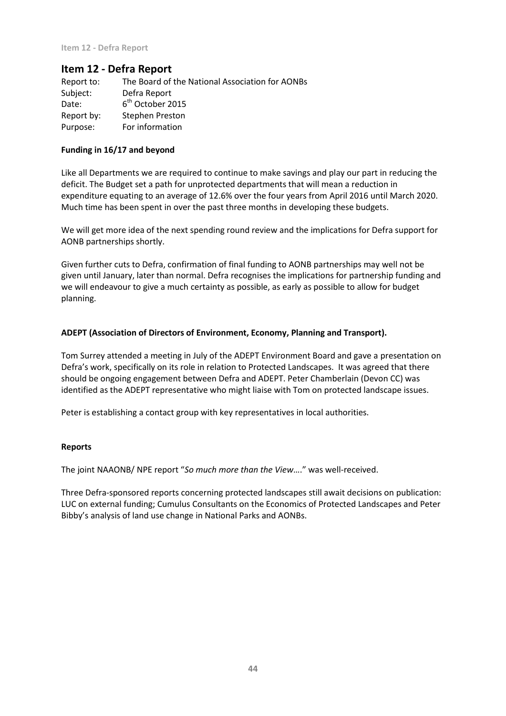**Item 12 - Defra Report**

# **Item 12 - Defra Report**

| Report to: | The Board of the National Association for AONBs |
|------------|-------------------------------------------------|
| Subject:   | Defra Report                                    |
| Date:      | 6 <sup>th</sup> October 2015                    |
| Report by: | Stephen Preston                                 |
| Purpose:   | For information                                 |

#### **Funding in 16/17 and beyond**

Like all Departments we are required to continue to make savings and play our part in reducing the deficit. The Budget set a path for unprotected departments that will mean a reduction in expenditure equating to an average of 12.6% over the four years from April 2016 until March 2020. Much time has been spent in over the past three months in developing these budgets.

We will get more idea of the next spending round review and the implications for Defra support for AONB partnerships shortly.

Given further cuts to Defra, confirmation of final funding to AONB partnerships may well not be given until January, later than normal. Defra recognises the implications for partnership funding and we will endeavour to give a much certainty as possible, as early as possible to allow for budget planning.

#### **ADEPT (Association of Directors of Environment, Economy, Planning and Transport).**

Tom Surrey attended a meeting in July of the ADEPT Environment Board and gave a presentation on Defra's work, specifically on its role in relation to Protected Landscapes. It was agreed that there should be ongoing engagement between Defra and ADEPT. Peter Chamberlain (Devon CC) was identified as the ADEPT representative who might liaise with Tom on protected landscape issues.

Peter is establishing a contact group with key representatives in local authorities.

#### **Reports**

The joint NAAONB/ NPE report "*So much more than the View*…." was well-received.

Three Defra-sponsored reports concerning protected landscapes still await decisions on publication: LUC on external funding; Cumulus Consultants on the Economics of Protected Landscapes and Peter Bibby's analysis of land use change in National Parks and AONBs.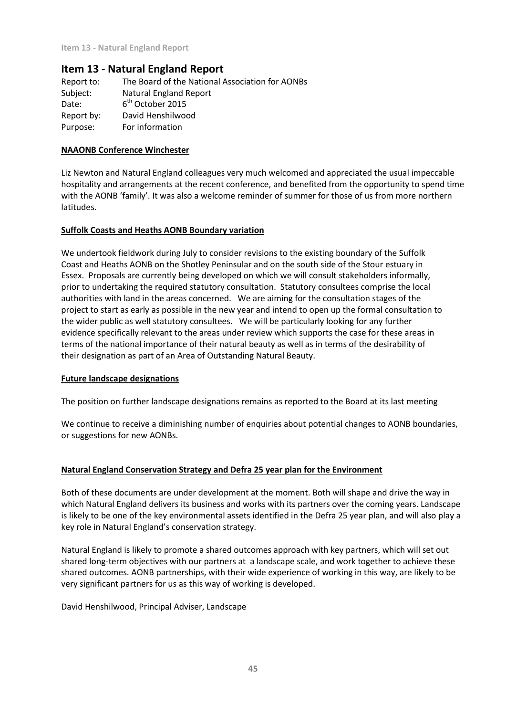# **Item 13 - Natural England Report**

Report to: The Board of the National Association for AONBs Subject: Natural England Report Date:  $6<sup>th</sup>$  October 2015 Report by: David Henshilwood Purpose: For information

#### **NAAONB Conference Winchester**

Liz Newton and Natural England colleagues very much welcomed and appreciated the usual impeccable hospitality and arrangements at the recent conference, and benefited from the opportunity to spend time with the AONB 'family'. It was also a welcome reminder of summer for those of us from more northern latitudes.

#### **Suffolk Coasts and Heaths AONB Boundary variation**

We undertook fieldwork during July to consider revisions to the existing boundary of the Suffolk Coast and Heaths AONB on the Shotley Peninsular and on the south side of the Stour estuary in Essex. Proposals are currently being developed on which we will consult stakeholders informally, prior to undertaking the required statutory consultation. Statutory consultees comprise the local authorities with land in the areas concerned. We are aiming for the consultation stages of the project to start as early as possible in the new year and intend to open up the formal consultation to the wider public as well statutory consultees. We will be particularly looking for any further evidence specifically relevant to the areas under review which supports the case for these areas in terms of the national importance of their natural beauty as well as in terms of the desirability of their designation as part of an Area of Outstanding Natural Beauty.

#### **Future landscape designations**

The position on further landscape designations remains as reported to the Board at its last meeting

We continue to receive a diminishing number of enquiries about potential changes to AONB boundaries, or suggestions for new AONBs.

#### **Natural England Conservation Strategy and Defra 25 year plan for the Environment**

Both of these documents are under development at the moment. Both will shape and drive the way in which Natural England delivers its business and works with its partners over the coming years. Landscape is likely to be one of the key environmental assets identified in the Defra 25 year plan, and will also play a key role in Natural England's conservation strategy.

Natural England is likely to promote a shared outcomes approach with key partners, which will set out shared long-term objectives with our partners at a landscape scale, and work together to achieve these shared outcomes. AONB partnerships, with their wide experience of working in this way, are likely to be very significant partners for us as this way of working is developed.

David Henshilwood, Principal Adviser, Landscape